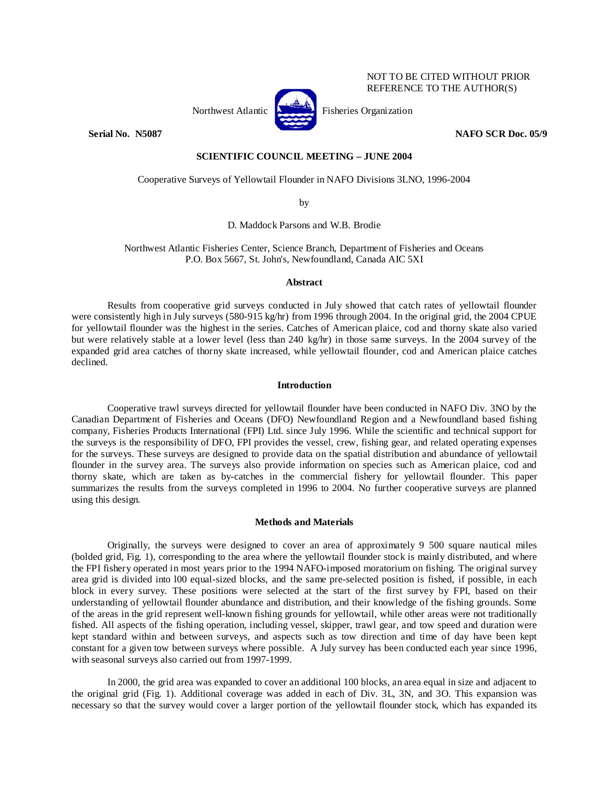

NOT TO BE CITED WITHOUT PRIOR REFERENCE TO THE AUTHOR(S)

# **Serial No. 3.5087** NAFO SCR Doc. 05/9

# **SCIENTIFIC COUNCIL MEETING – JUNE 2004**

Cooperative Surveys of Yellowtail Flounder in NAFO Divisions 3LNO, 1996-2004

by

D. Maddock Parsons and W.B. Brodie

Northwest Atlantic Fisheries Center, Science Branch, Department of Fisheries and Oceans P.O. Box 5667, St. John's, Newfoundland, Canada AIC 5XI

## **Abstract**

Results from cooperative grid surveys conducted in July showed that catch rates of yellowtail flounder were consistently high in July surveys (580-915 kg/hr) from 1996 through 2004. In the original grid, the 2004 CPUE for yellowtail flounder was the highest in the series. Catches of American plaice, cod and thorny skate also varied but were relatively stable at a lower level (less than 240 kg/hr) in those same surveys. In the 2004 survey of the expanded grid area catches of thorny skate increased, while yellowtail flounder, cod and American plaice catches declined.

## **Introduction**

Cooperative trawl surveys directed for yellowtail flounder have been conducted in NAFO Div. 3NO by the Canadian Department of Fisheries and Oceans (DFO) Newfoundland Region and a Newfoundland based fishing company, Fisheries Products International (FPI) Ltd. since July 1996. While the scientific and technical support for the surveys is the responsibility of DFO, FPI provides the vessel, crew, fishing gear, and related operating expenses for the surveys. These surveys are designed to provide data on the spatial distribution and abundance of yellowtail flounder in the survey area. The surveys also provide information on species such as American plaice, cod and thorny skate, which are taken as by-catches in the commercial fishery for yellowtail flounder. This paper summarizes the results from the surveys completed in 1996 to 2004. No further cooperative surveys are planned using this design.

## **Methods and Materials**

Originally, the surveys were designed to cover an area of approximately 9 500 square nautical miles (bolded grid, Fig. 1), corresponding to the area where the yellowtail flounder stock is mainly distributed, and where the FPI fishery operated in most years prior to the 1994 NAFO-imposed moratorium on fishing. The original survey area grid is divided into l00 equal-sized blocks, and the same pre-selected position is fished, if possible, in each block in every survey. These positions were selected at the start of the first survey by FPI, based on their understanding of yellowtail flounder abundance and distribution, and their knowledge of the fishing grounds. Some of the areas in the grid represent well-known fishing grounds for yellowtail, while other areas were not traditionally fished. All aspects of the fishing operation, including vessel, skipper, trawl gear, and tow speed and duration were kept standard within and between surveys, and aspects such as tow direction and time of day have been kept constant for a given tow between surveys where possible. A July survey has been conducted each year since 1996, with seasonal surveys also carried out from 1997-1999.

In 2000, the grid area was expanded to cover an additional 100 blocks, an area equal in size and adjacent to the original grid (Fig. 1). Additional coverage was added in each of Div. 3L, 3N, and 3O. This expansion was necessary so that the survey would cover a larger portion of the yellowtail flounder stock, which has expanded its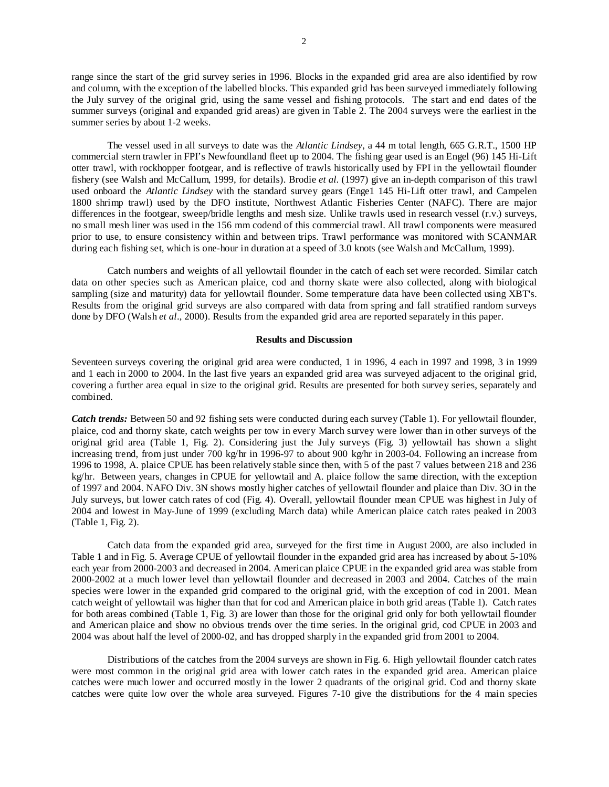range since the start of the grid survey series in 1996. Blocks in the expanded grid area are also identified by row and column, with the exception of the labelled blocks. This expanded grid has been surveyed immediately following the July survey of the original grid, using the same vessel and fishing protocols. The start and end dates of the summer surveys (original and expanded grid areas) are given in Table 2. The 2004 surveys were the earliest in the summer series by about 1-2 weeks.

The vessel used in all surveys to date was the *Atlantic Lindsey*, a 44 m total length, 665 G.R.T., 1500 HP commercial stern trawler in FPI's Newfoundland fleet up to 2004. The fishing gear used is an Engel (96) 145 Hi-Lift otter trawl, with rockhopper footgear, and is reflective of trawls historically used by FPI in the yellowtail flounder fishery (see Walsh and McCallum, 1999, for details). Brodie *et al.* (1997) give an in-depth comparison of this trawl used onboard the *Atlantic Lindsey* with the standard survey gears (Enge1 145 Hi-Lift otter trawl, and Campelen 1800 shrimp trawl) used by the DFO institute, Northwest Atlantic Fisheries Center (NAFC). There are major differences in the footgear, sweep/bridle lengths and mesh size. Unlike trawls used in research vessel (r.v.) surveys, no small mesh liner was used in the 156 mm codend of this commercial trawl. All trawl components were measured prior to use, to ensure consistency within and between trips. Trawl performance was monitored with SCANMAR during each fishing set, which is one-hour in duration at a speed of 3.0 knots (see Walsh and McCallum, 1999).

Catch numbers and weights of all yellowtail flounder in the catch of each set were recorded. Similar catch data on other species such as American plaice, cod and thorny skate were also collected, along with biological sampling (size and maturity) data for yellowtail flounder. Some temperature data have been collected using XBT's. Results from the original grid surveys are also compared with data from spring and fall stratified random surveys done by DFO (Walsh *et al*., 2000). Results from the expanded grid area are reported separately in this paper.

#### **Results and Discussion**

Seventeen surveys covering the original grid area were conducted, 1 in 1996, 4 each in 1997 and 1998, 3 in 1999 and 1 each in 2000 to 2004. In the last five years an expanded grid area was surveyed adjacent to the original grid, covering a further area equal in size to the original grid. Results are presented for both survey series, separately and combined.

*Catch trends:* Between 50 and 92 fishing sets were conducted during each survey (Table 1). For yellowtail flounder, plaice, cod and thorny skate, catch weights per tow in every March survey were lower than in other surveys of the original grid area (Table 1, Fig. 2). Considering just the July surveys (Fig. 3) yellowtail has shown a slight increasing trend, from just under 700 kg/hr in 1996-97 to about 900 kg/hr in 2003-04. Following an increase from 1996 to 1998, A. plaice CPUE has been relatively stable since then, with 5 of the past 7 values between 218 and 236 kg/hr. Between years, changes in CPUE for yellowtail and A. plaice follow the same direction, with the exception of 1997 and 2004. NAFO Div. 3N shows mostly higher catches of yellowtail flounder and plaice than Div. 3O in the July surveys, but lower catch rates of cod (Fig. 4). Overall, yellowtail flounder mean CPUE was highest in July of 2004 and lowest in May-June of 1999 (excluding March data) while American plaice catch rates peaked in 2003 (Table 1, Fig. 2).

Catch data from the expanded grid area, surveyed for the first time in August 2000, are also included in Table 1 and in Fig. 5. Average CPUE of yellowtail flounder in the expanded grid area has increased by about 5-10% each year from 2000-2003 and decreased in 2004. American plaice CPUE in the expanded grid area was stable from 2000-2002 at a much lower level than yellowtail flounder and decreased in 2003 and 2004. Catches of the main species were lower in the expanded grid compared to the original grid, with the exception of cod in 2001. Mean catch weight of yellowtail was higher than that for cod and American plaice in both grid areas (Table 1). Catch rates for both areas combined (Table 1, Fig. 3) are lower than those for the original grid only for both yellowtail flounder and American plaice and show no obvious trends over the time series. In the original grid, cod CPUE in 2003 and 2004 was about half the level of 2000-02, and has dropped sharply in the expanded grid from 2001 to 2004.

Distributions of the catches from the 2004 surveys are shown in Fig. 6. High yellowtail flounder catch rates were most common in the original grid area with lower catch rates in the expanded grid area. American plaice catches were much lower and occurred mostly in the lower 2 quadrants of the original grid. Cod and thorny skate catches were quite low over the whole area surveyed. Figures 7-10 give the distributions for the 4 main species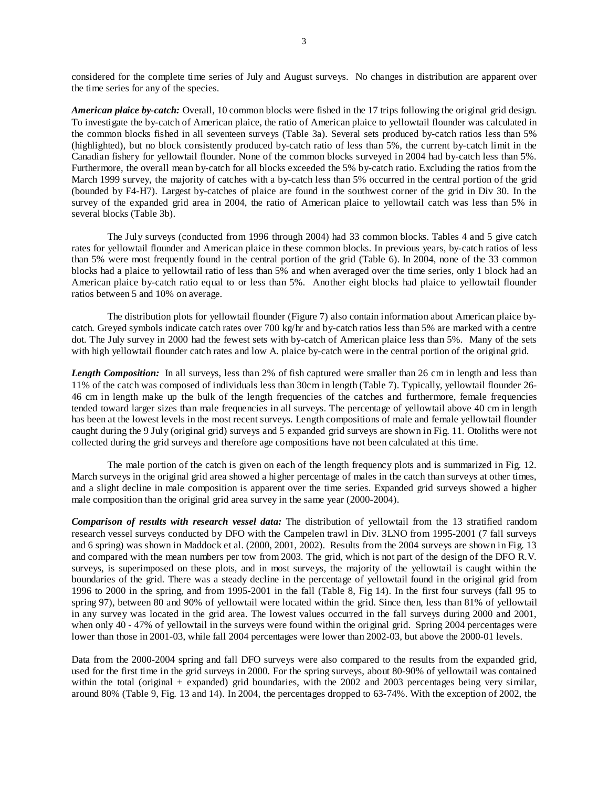considered for the complete time series of July and August surveys. No changes in distribution are apparent over the time series for any of the species.

*American plaice by-catch:* Overall, 10 common blocks were fished in the 17 trips following the original grid design. To investigate the by-catch of American plaice, the ratio of American plaice to yellowtail flounder was calculated in the common blocks fished in all seventeen surveys (Table 3a). Several sets produced by-catch ratios less than 5% (highlighted), but no block consistently produced by-catch ratio of less than 5%, the current by-catch limit in the Canadian fishery for yellowtail flounder. None of the common blocks surveyed in 2004 had by-catch less than 5%. Furthermore, the overall mean by-catch for all blocks exceeded the 5% by-catch ratio. Excluding the ratios from the March 1999 survey, the majority of catches with a by-catch less than 5% occurred in the central portion of the grid (bounded by F4-H7). Largest by-catches of plaice are found in the southwest corner of the grid in Div 30. In the survey of the expanded grid area in 2004, the ratio of American plaice to yellowtail catch was less than 5% in several blocks (Table 3b).

The July surveys (conducted from 1996 through 2004) had 33 common blocks. Tables 4 and 5 give catch rates for yellowtail flounder and American plaice in these common blocks. In previous years, by-catch ratios of less than 5% were most frequently found in the central portion of the grid (Table 6). In 2004, none of the 33 common blocks had a plaice to yellowtail ratio of less than 5% and when averaged over the time series, only 1 block had an American plaice by-catch ratio equal to or less than 5%. Another eight blocks had plaice to yellowtail flounder ratios between 5 and 10% on average.

The distribution plots for yellowtail flounder (Figure 7) also contain information about American plaice bycatch. Greyed symbols indicate catch rates over 700 kg/hr and by-catch ratios less than 5% are marked with a centre dot. The July survey in 2000 had the fewest sets with by-catch of American plaice less than 5%. Many of the sets with high yellowtail flounder catch rates and low A. plaice by-catch were in the central portion of the original grid.

*Length Composition:* In all surveys, less than 2% of fish captured were smaller than 26 cm in length and less than 11% of the catch was composed of individuals less than 30cm in length (Table 7). Typically, yellowtail flounder 26- 46 cm in length make up the bulk of the length frequencies of the catches and furthermore, female frequencies tended toward larger sizes than male frequencies in all surveys. The percentage of yellowtail above 40 cm in length has been at the lowest levels in the most recent surveys. Length compositions of male and female yellowtail flounder caught during the 9 July (original grid) surveys and 5 expanded grid surveys are shown in Fig. 11. Otoliths were not collected during the grid surveys and therefore age compositions have not been calculated at this time.

The male portion of the catch is given on each of the length frequency plots and is summarized in Fig. 12. March surveys in the original grid area showed a higher percentage of males in the catch than surveys at other times, and a slight decline in male composition is apparent over the time series. Expanded grid surveys showed a higher male composition than the original grid area survey in the same year (2000-2004).

*Comparison of results with research vessel data:* The distribution of yellowtail from the 13 stratified random research vessel surveys conducted by DFO with the Campelen trawl in Div. 3LNO from 1995-2001 (7 fall surveys and 6 spring) was shown in Maddock et al. (2000, 2001, 2002). Results from the 2004 surveys are shown in Fig. 13 and compared with the mean numbers per tow from 2003. The grid, which is not part of the design of the DFO R.V. surveys, is superimposed on these plots, and in most surveys, the majority of the yellowtail is caught within the boundaries of the grid. There was a steady decline in the percentage of yellowtail found in the original grid from 1996 to 2000 in the spring, and from 1995-2001 in the fall (Table 8, Fig 14). In the first four surveys (fall 95 to spring 97), between 80 and 90% of yellowtail were located within the grid. Since then, less than 81% of yellowtail in any survey was located in the grid area. The lowest values occurred in the fall surveys during 2000 and 2001, when only 40 - 47% of yellowtail in the surveys were found within the original grid. Spring 2004 percentages were lower than those in 2001-03, while fall 2004 percentages were lower than 2002-03, but above the 2000-01 levels.

Data from the 2000-2004 spring and fall DFO surveys were also compared to the results from the expanded grid, used for the first time in the grid surveys in 2000. For the spring surveys, about 80-90% of yellowtail was contained within the total (original + expanded) grid boundaries, with the 2002 and 2003 percentages being very similar, around 80% (Table 9, Fig. 13 and 14). In 2004, the percentages dropped to 63-74%. With the exception of 2002, the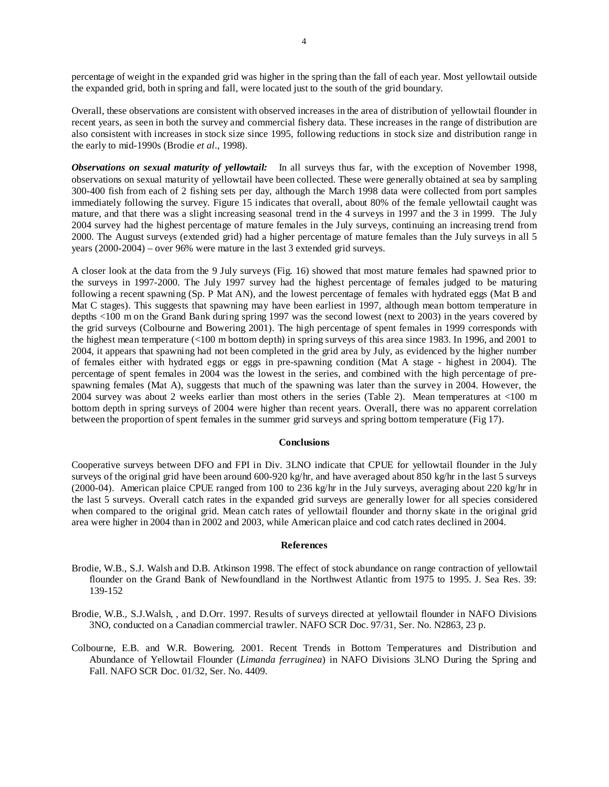percentage of weight in the expanded grid was higher in the spring than the fall of each year. Most yellowtail outside the expanded grid, both in spring and fall, were located just to the south of the grid boundary.

Overall, these observations are consistent with observed increases in the area of distribution of yellowtail flounder in recent years, as seen in both the survey and commercial fishery data. These increases in the range of distribution are also consistent with increases in stock size since 1995, following reductions in stock size and distribution range in the early to mid-1990s (Brodie *et al*., 1998).

*Observations on sexual maturity of yellowtail:* In all surveys thus far, with the exception of November 1998, observations on sexual maturity of yellowtail have been collected. These were generally obtained at sea by sampling 300-400 fish from each of 2 fishing sets per day, although the March 1998 data were collected from port samples immediately following the survey. Figure 15 indicates that overall, about 80% of the female yellowtail caught was mature, and that there was a slight increasing seasonal trend in the 4 surveys in 1997 and the 3 in 1999. The July 2004 survey had the highest percentage of mature females in the July surveys, continuing an increasing trend from 2000. The August surveys (extended grid) had a higher percentage of mature females than the July surveys in all 5 years (2000-2004) – over 96% were mature in the last 3 extended grid surveys.

A closer look at the data from the 9 July surveys (Fig. 16) showed that most mature females had spawned prior to the surveys in 1997-2000. The July 1997 survey had the highest percentage of females judged to be maturing following a recent spawning (Sp. P Mat AN), and the lowest percentage of females with hydrated eggs (Mat B and Mat C stages). This suggests that spawning may have been earliest in 1997, although mean bottom temperature in depths <100 m on the Grand Bank during spring 1997 was the second lowest (next to 2003) in the years covered by the grid surveys (Colbourne and Bowering 2001). The high percentage of spent females in 1999 corresponds with the highest mean temperature (<100 m bottom depth) in spring surveys of this area since 1983. In 1996, and 2001 to 2004, it appears that spawning had not been completed in the grid area by July, as evidenced by the higher number of females either with hydrated eggs or eggs in pre-spawning condition (Mat A stage - highest in 2004). The percentage of spent females in 2004 was the lowest in the series, and combined with the high percentage of prespawning females (Mat A), suggests that much of the spawning was later than the survey in 2004. However, the 2004 survey was about 2 weeks earlier than most others in the series (Table 2). Mean temperatures at <100 m bottom depth in spring surveys of 2004 were higher than recent years. Overall, there was no apparent correlation between the proportion of spent females in the summer grid surveys and spring bottom temperature (Fig 17).

#### **Conclusions**

Cooperative surveys between DFO and FPI in Div. 3LNO indicate that CPUE for yellowtail flounder in the July surveys of the original grid have been around 600-920 kg/hr, and have averaged about 850 kg/hr in the last 5 surveys (2000-04). American plaice CPUE ranged from 100 to 236 kg/hr in the July surveys, averaging about 220 kg/hr in the last 5 surveys. Overall catch rates in the expanded grid surveys are generally lower for all species considered when compared to the original grid. Mean catch rates of yellowtail flounder and thorny skate in the original grid area were higher in 2004 than in 2002 and 2003, while American plaice and cod catch rates declined in 2004.

#### **References**

- Brodie, W.B., S.J. Walsh and D.B. Atkinson 1998. The effect of stock abundance on range contraction of yellowtail flounder on the Grand Bank of Newfoundland in the Northwest Atlantic from 1975 to 1995. J. Sea Res. 39: 139-152
- Brodie, W.B., S.J.Walsh, , and D.Orr. 1997. Results of surveys directed at yellowtail flounder in NAFO Divisions 3NO, conducted on a Canadian commercial trawler. NAFO SCR Doc. 97/31, Ser. No. N2863, 23 p.
- Colbourne, E.B. and W.R. Bowering. 2001. Recent Trends in Bottom Temperatures and Distribution and Abundance of Yellowtail Flounder (*Limanda ferruginea*) in NAFO Divisions 3LNO During the Spring and Fall. NAFO SCR Doc. 01/32, Ser. No. 4409.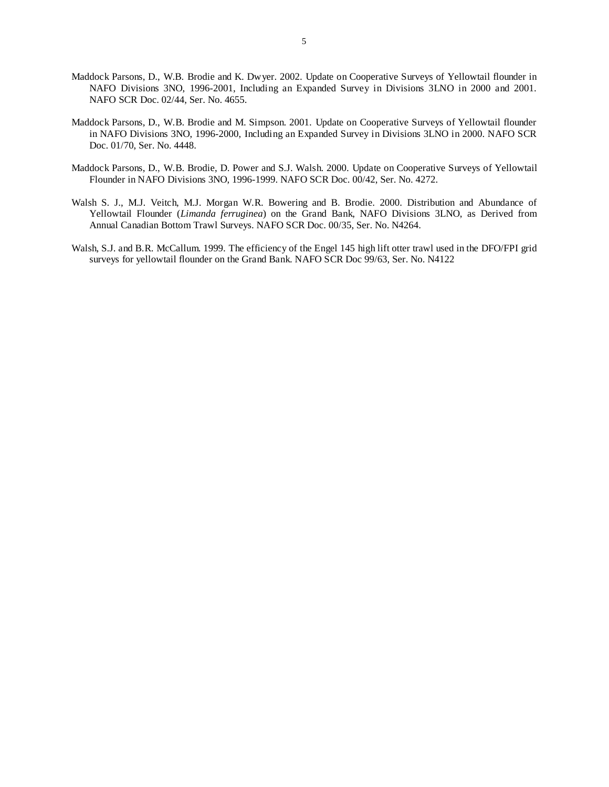- Maddock Parsons, D., W.B. Brodie and K. Dwyer. 2002. Update on Cooperative Surveys of Yellowtail flounder in NAFO Divisions 3NO, 1996-2001, Including an Expanded Survey in Divisions 3LNO in 2000 and 2001. NAFO SCR Doc. 02/44, Ser. No. 4655.
- Maddock Parsons, D., W.B. Brodie and M. Simpson. 2001. Update on Cooperative Surveys of Yellowtail flounder in NAFO Divisions 3NO, 1996-2000, Including an Expanded Survey in Divisions 3LNO in 2000. NAFO SCR Doc. 01/70, Ser. No. 4448.
- Maddock Parsons, D., W.B. Brodie, D. Power and S.J. Walsh. 2000. Update on Cooperative Surveys of Yellowtail Flounder in NAFO Divisions 3NO, 1996-1999. NAFO SCR Doc. 00/42, Ser. No. 4272.
- Walsh S. J., M.J. Veitch, M.J. Morgan W.R. Bowering and B. Brodie. 2000. Distribution and Abundance of Yellowtail Flounder (*Limanda ferruginea*) on the Grand Bank, NAFO Divisions 3LNO, as Derived from Annual Canadian Bottom Trawl Surveys. NAFO SCR Doc. 00/35, Ser. No. N4264.
- Walsh, S.J. and B.R. McCallum. 1999. The efficiency of the Engel 145 high lift otter trawl used in the DFO/FPI grid surveys for yellowtail flounder on the Grand Bank. NAFO SCR Doc 99/63, Ser. No. N4122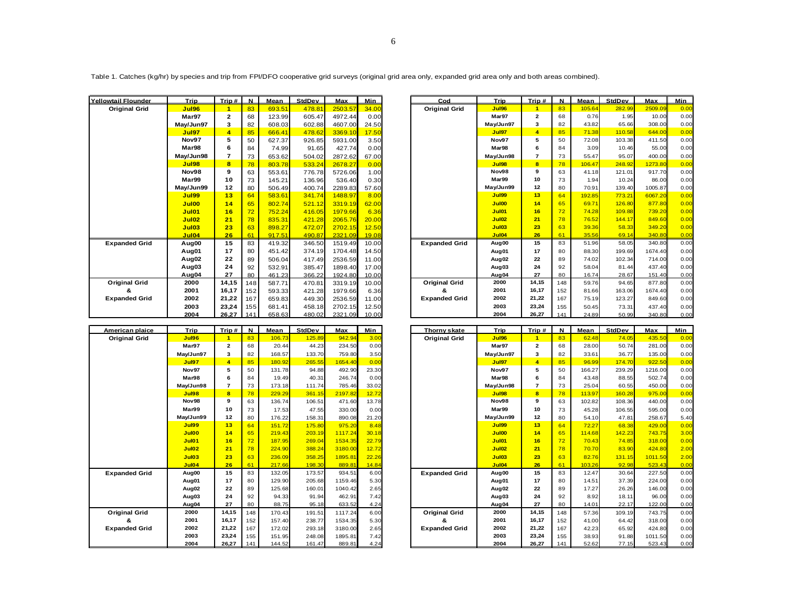| <b>Yellowtail Flounder</b> | Trip         | Trip#        | $\mathbf N$ | Mean   | StdDev | Max     | Min   | Cod                  | Trip              | Trip $#$                 | $\mathbf N$ | Mean   | StdDev | Max     | Min              |
|----------------------------|--------------|--------------|-------------|--------|--------|---------|-------|----------------------|-------------------|--------------------------|-------------|--------|--------|---------|------------------|
| <b>Original Grid</b>       | <b>Jul96</b> |              | 83          | 693.51 | 478.81 | 2503.57 | 34.00 | <b>Original Grid</b> | Jul96             |                          | 83          | 105.64 | 282.99 | 2509.09 | $\Omega$ .       |
|                            | Mar97        | $\mathbf{2}$ | 68          | 123.99 | 605.47 | 4972.44 | 0.00  |                      | Mar97             | $\mathbf{2}$             | 68          | 0.76   | 1.95   | 10.00   | 0.               |
|                            | Mav/Jun97    | 3            | 82          | 608.03 | 602.88 | 4607.00 | 24.50 |                      | May/Jun97         | 3                        | 82          | 43.82  | 65.66  | 308.00  | 0.               |
|                            | Jul97        | 4            | 85          | 666.41 | 478.62 | 3369.10 | 17.50 |                      | Jul97             | $\overline{4}$           | 85          | 71.38  | 110.58 | 644.00  | $\overline{0}$ . |
|                            | Nov97        | 5            | 50          | 627.37 | 926.85 | 5931.00 | 3.50  |                      | Nov97             | 5                        | 50          | 72.08  | 103.38 | 411.50  | 0.               |
|                            | Mar98        | 6            | 84          | 74.99  | 91.65  | 427.74  | 0.00  |                      | Mar98             | 6                        | 84          | 3.09   | 10.46  | 55.00   | 0.               |
|                            | May/Jun98    |              | 73          | 653.62 | 504.02 | 2872.62 | 67.00 |                      | May/Jun98         | $\overline{\phantom{a}}$ | 73          | 55.47  | 95.07  | 400.00  | 0.               |
|                            | <b>Jul98</b> | 8            | 78          | 803.78 | 533.24 | 2678.27 | 0.00  |                      | Jul98             | 8                        | 78          | 106.47 | 248.92 | 1273.80 | $\overline{0}$ . |
|                            | Nov98        | 9            | 63          | 553.61 | 776.78 | 5726.06 | 1.00  |                      | Nov98             | 9                        | 63          | 41.18  | 121.01 | 917.70  | 0.               |
|                            | Mar99        | 10           | 73          | 145.21 | 136.96 | 536.40  | 0.30  |                      | Mar99             | 10                       | 73          | 1.94   | 10.24  | 86.00   | 0.               |
|                            | May/Jun99    | 12           | 80          | 506.49 | 400.74 | 2289.83 | 57.60 |                      | May/Jun99         | 12                       | 80          | 70.91  | 139.40 | 1005.87 | 0.               |
|                            | <b>Jul99</b> | 13           | 64          | 583.61 | 341.74 | 1488.97 | 8.00  |                      | Jul99             | 13                       | 64          | 192.85 | 773.21 | 6067.20 | $\overline{0}$ . |
|                            | Jul00        | 14           | 65          | 802.74 | 521.12 | 3319.19 | 62.00 |                      | Jul00             | 14                       | 65          | 69.71  | 126.80 | 877.80  | $\overline{0}$ . |
|                            | <b>Jul01</b> | 16           | 72          | 752.24 | 416.05 | 1979.66 | 6.36  |                      | Jul01             | 16                       | 72          | 74.28  | 109.88 | 739.20  | $\overline{0}$ . |
|                            | <b>Jul02</b> | 21           | 78          | 835.31 | 421.28 | 2065.76 | 20.00 |                      | <b>Jul02</b>      | 21                       | 78          | 76.52  | 144.17 | 849.60  | $\overline{0}$ . |
|                            | <b>Jul03</b> | 23           | 63          | 898.27 | 472.07 | 2702.15 | 12.50 |                      | Jul03             | 23                       | 63          | 39.36  | 58.33  | 349.20  | $\overline{0}$ . |
|                            | <b>Jul04</b> | 26           | 61          | 917.51 | 490.87 | 2321.09 | 19.08 |                      | Jul04             | 26                       | 61          | 35.56  | 69.14  | 340.80  | $\Omega$ .       |
| <b>Expanded Grid</b>       | Aug00        | 15           | 83          | 419.32 | 346.50 | 1519.49 | 10.00 | <b>Expanded Grid</b> | Aug <sub>00</sub> | 15                       | 83          | 51.96  | 58.05  | 340.80  | 0.               |
|                            | Aug01        | 17           | 80          | 451.42 | 374.19 | 1704.48 | 14.50 |                      | Aug <sub>01</sub> | 17                       | 80          | 88.30  | 199.69 | 1674.40 | 0.               |
|                            | Aug02        | 22           | 89          | 506.04 | 417.49 | 2536.59 | 11.00 |                      | Aug <sub>02</sub> | 22                       | 89          | 74.02  | 102.34 | 714.00  | 0.               |
|                            | Aug03        | 24           | 92          | 532.91 | 385.47 | 1898.40 | 17.00 |                      | Aug <sub>03</sub> | 24                       | 92          | 58.04  | 81.44  | 437.40  | 0.               |
|                            | Aug04        | 27           | 80          | 461.23 | 366.22 | 1924.80 | 10.00 |                      | Aug <sub>04</sub> | 27                       | 80          | 16.74  | 28.67  | 151.40  | 0.               |
| <b>Original Grid</b>       | 2000         | 14,15        | 148         | 587.71 | 470.81 | 3319.19 | 10.00 | <b>Original Grid</b> | 2000              | 14,15                    | 148         | 59.76  | 94.65  | 877.80  | 0.               |
|                            | 2001         | 16,17        | 152         | 593.33 | 421.28 | 1979.66 | 6.36  | &                    | 2001              | 16,17                    | 152         | 81.66  | 163.06 | 1674.40 | 0.               |
| <b>Expanded Grid</b>       | 2002         | 21,22        | 167         | 659.83 | 449.30 | 2536.59 | 11.00 | <b>Expanded Grid</b> | 2002              | 21,22                    | 167         | 75.19  | 123.27 | 849.60  | 0.               |
|                            | 2003         | 23.24        | 155         | 681.41 | 458.18 | 2702.15 | 12.50 |                      | 2003              | 23,24                    | 155         | 50.45  | 73.31  | 437.40  | 0.               |
|                            | 2004         | 26.27        | 141         | 658.63 | 480.02 | 2321.09 | 10.00 |                      | 2004              | 26.27                    | 141         | 24.89  | 50.99  | 340.80  | $\Omega$         |

| American plaice      | Trip         | Trip#                   | N   | Mean   | <b>StdDev</b> | Max     | Min   |
|----------------------|--------------|-------------------------|-----|--------|---------------|---------|-------|
| <b>Original Grid</b> | <b>Jul96</b> | 1                       | 83  | 106.73 | 125.89        | 942.94  | 3.00  |
|                      | Mar97        | $\overline{\mathbf{2}}$ | 68  | 20.44  | 44.23         | 234.50  | 0.00  |
|                      | May/Jun97    | 3                       | 82  | 168.57 | 133.70        | 759.80  | 3.50  |
|                      | <b>Jul97</b> | 4                       | 85  | 180.92 | 265.55        | 1654.40 | 0.00  |
|                      | Nov97        | 5                       | 50  | 131.78 | 94.88         | 492.90  | 23.30 |
|                      | Mar98        | 6                       | 84  | 19.49  | 40.31         | 246.74  | 0.00  |
|                      | May/Jun98    | $\overline{7}$          | 73  | 173.18 | 111.74        | 785.46  | 33.02 |
|                      | <b>Jul98</b> | 8                       | 78  | 229.29 | 361.15        | 2197.82 | 12.72 |
|                      | Nov98        | 9                       | 63  | 136.74 | 106.51        | 471.60  | 13.78 |
|                      | Mar99        | 10                      | 73  | 17.53  | 47.55         | 330.00  | 0.00  |
|                      | May/Jun99    | 12                      | 80  | 176.22 | 158.31        | 890.08  | 21.20 |
|                      | <b>Jul99</b> | 13                      | 64  | 151.72 | 175.80        | 975.20  | 8.48  |
|                      | Jul00        | 14                      | 65  | 219.43 | 203.19        | 1117.24 | 30.18 |
|                      | <b>Jul01</b> | 16                      | 72  | 187.95 | 269.04        | 1534.35 | 22.79 |
|                      | <b>Jul02</b> | 21                      | 78  | 224.90 | 388.24        | 3180.00 | 12.72 |
|                      | <b>Jul03</b> | 23                      | 63  | 236.09 | 358.25        | 1895.81 | 22.26 |
|                      | <b>Jul04</b> | 26                      | 61  | 217.66 | 198.30        | 889.81  | 14.84 |
| <b>Expanded Grid</b> | Aug00        | 15                      | 83  | 132.05 | 173.57        | 934.51  | 6.00  |
|                      | Aug01        | 17                      | 80  | 129.90 | 205.68        | 1159.46 | 5.30  |
|                      | Aug02        | 22                      | 89  | 125.68 | 160.01        | 1040.42 | 2.65  |
|                      | Aug03        | 24                      | 92  | 94.33  | 91.94         | 462.91  | 7.42  |
|                      | Aug04        | 27                      | 80  | 88.75  | 95.18         | 633.52  | 4.24  |
| <b>Original Grid</b> | 2000         | 14,15                   | 148 | 170.43 | 191.51        | 1117.24 | 6.00  |
| &                    | 2001         | 16,17                   | 152 | 157.40 | 238.77        | 1534.35 | 5.30  |
| <b>Expanded Grid</b> | 2002         | 21,22                   | 167 | 172.02 | 293.18        | 3180.00 | 2.65  |
|                      | 2003         | 23,24                   | 155 | 151.95 | 248.08        | 1895.81 | 7.42  |
|                      | 2004         | 26,27                   | 141 | 144.52 | 161.47        | 889.81  | 4.24  |

| wtail Flounder       | Trip              | Trip# | $\mathbf N$ | Mean   | <b>StdDev</b> | Max           | Min   | Cod                  | Trip              | Trip#                   | N   | Mean   | <b>StdDev</b> | Max     | Min  |
|----------------------|-------------------|-------|-------------|--------|---------------|---------------|-------|----------------------|-------------------|-------------------------|-----|--------|---------------|---------|------|
| <b>Original Grid</b> | Jul96             | и     | 83          | 693.51 | 478.81        | 2503.57       | 34.00 | <b>Original Grid</b> | <b>Jul96</b>      |                         | 83  | 105.64 | 282.99        | 2509.09 | 0.00 |
|                      | Mar97             | 2     | 68          | 123.99 | 605.47        | 4972.44       | 0.00  |                      | Mar97             | $\mathbf{2}$            | 68  | 0.76   | 1.95          | 10.00   | 0.00 |
|                      | Mav/Jun97         | 3     | 82          | 608.03 | 602.88        | 4607.00       | 24.50 |                      | May/Jun97         | 3                       | 82  | 43.82  | 65.66         | 308.00  | 0.00 |
|                      | Jul97             | 4     | 85          | 666.41 | 478.62        | 3369.10       | 17.50 |                      | <b>Jul97</b>      |                         | 85  | 71.38  | 110.58        | 644.00  | 0.00 |
|                      | Nov97             | 5     | 50          | 627.37 | 926.85        | 5931.00       | 3.50  |                      | Nov97             | 5                       | 50  | 72.08  | 103.38        | 411.50  | 0.00 |
|                      | Mar98             | 6     | 84          | 74.99  | 91.65         | 427.74        | 0.00  |                      | Mar98             |                         | 84  | 3.09   | 10.46         | 55.00   | 0.00 |
|                      | May/Jun98         |       | 73          | 653.62 | 504.02        | 2872.62       | 67.00 |                      | May/Jun98         |                         | 73  | 55.47  | 95.07         | 400.00  | 0.00 |
|                      | <b>Jul98</b>      | 8     | 78          | 803.78 | 533.24        | 2678.27       | 0.00  |                      | <b>Jul98</b>      | $\overline{\mathbf{8}}$ | 78  | 106.47 | 248.92        | 1273.80 | 0.00 |
|                      | Nov98             | 9     | 63          | 553.61 | 776.78        | 5726.06       | 1.00  |                      | Nov98             | 9                       | 63  | 41.18  | 121.01        | 917.70  | 0.00 |
|                      | Mar99             | 10    | 73          | 145.21 | 136.96        | 536.40        | 0.30  |                      | Mar99             | 10                      | 73  | 1.94   | 10.24         | 86.00   | 0.00 |
|                      | May/Jun99         | 12    | 80          | 506.49 | 400.74        | 2289.83       | 57.60 |                      | May/Jun99         | 12                      | 80  | 70.91  | 139.40        | 1005.87 | 0.00 |
|                      | <b>Jul99</b>      | 13    | 64          | 583.61 | 341.74        | 1488.97       | 8.00  |                      | <b>Jul99</b>      | 13                      | 64  | 192.85 | 773.21        | 6067.20 | 0.00 |
|                      | Jul00             | 14    | 65          | 802.74 | 521.12        | 3319.19       | 62.00 |                      | Jul00             | 14                      | 65  | 69.71  | 126.80        | 877.80  | 0.00 |
|                      | <b>Jul01</b>      | 16    | 72          | 752.24 | 416.05        | 1979.66       | 6.36  |                      | <b>Jul01</b>      | 16                      | 72  | 74.28  | 109.88        | 739.20  | 0.00 |
|                      | Jul <sub>02</sub> | 21    | 78          | 835.31 | 421.28        | 2065.76       | 20.00 |                      | <b>Jul02</b>      | 21                      | 78  | 76.52  | 144.17        | 849.60  | 0.00 |
|                      | Jul03             | 23    | 63          | 898.27 | 472.07        | 2702.15       | 12.50 |                      | <b>Jul03</b>      | 23                      | 63  | 39.36  | 58.33         | 349.20  | 0.00 |
|                      | Jul04             | 26    | 61          | 917.51 | 490.87        | 2321.09       | 19.08 |                      | <b>Jul04</b>      | 26                      | 61  | 35.56  | 69.14         | 340.80  | 0.00 |
| <b>Expanded Grid</b> | Aug00             | 15    | 83          | 419.32 | 346.50        | 1519.49       | 10.00 | <b>Expanded Grid</b> | Aug <sub>00</sub> | 15                      | 83  | 51.96  | 58.05         | 340.80  | 0.00 |
|                      | Aug01             | 17    | 80          | 451.42 | 374.19        | 1704.48       | 14.50 |                      | Aug <sub>01</sub> | 17                      | 80  | 88.30  | 199.69        | 1674.40 | 0.00 |
|                      | Aug02             | 22    | 89          | 506.04 | 417.49        | 2536.59       | 11.00 |                      | Aug <sub>02</sub> | 22                      | 89  | 74.02  | 102.34        | 714.00  | 0.00 |
|                      | Aug03             | 24    | 92          | 532.91 | 385.47        | 1898.40       | 17.00 |                      | Aug <sub>03</sub> | 24                      | 92  | 58.04  | 81.44         | 437.40  | 0.00 |
|                      | Aug04             | 27    | 80          | 461.23 | 366.22        | 1924.80       | 10.00 |                      | Aug <sub>04</sub> | 27                      | 80  | 16.74  | 28.67         | 151.40  | 0.00 |
| <b>Original Grid</b> | 2000              | 14.15 | 148         | 587.71 | 470.81        | 3319.19       | 10.00 | <b>Original Grid</b> | 2000              | 14,15                   | 148 | 59.76  | 94.65         | 877.80  | 0.00 |
| &                    | 2001              | 16,17 | 152         | 593.33 | 421.28        | 1979.66       | 6.36  | &                    | 2001              | 16,17                   | 152 | 81.66  | 163.06        | 1674.40 | 0.00 |
| <b>Expanded Grid</b> | 2002              | 21,22 | 167         | 659.83 | 449.30        | 2536.59       | 11.00 | <b>Expanded Grid</b> | 2002              | 21,22                   | 167 | 75.19  | 123.27        | 849.60  | 0.00 |
|                      | 2003              | 23,24 | 155         | 681.41 | 458.18        | 2702.15       | 12.50 |                      | 2003              | 23,24                   | 155 | 50.45  | 73.31         | 437.40  | 0.00 |
|                      | 2004              | 26.27 | 141         | 658.63 | 480.02        | 2321.09 10.00 |       |                      | 2004              | 26.27                   | 141 | 24.89  | 50.99         | 340.80  | 0.00 |

| American plaice      | Trip         | Trip#                   | N   | Mean   | StdDev | Max     | Min   | Thorny skate         | Trip              | Trip#                   | N   | Mean   | StdDev | Max     | Min  |
|----------------------|--------------|-------------------------|-----|--------|--------|---------|-------|----------------------|-------------------|-------------------------|-----|--------|--------|---------|------|
| <b>Original Grid</b> | <b>Jul96</b> |                         | 83  | 106.73 | 125.89 | 942.94  | 3.00  | <b>Original Grid</b> | <b>Jul96</b>      |                         | 83  | 62.48  | 74.05  | 435.50  | 0.00 |
|                      | Mar97        | $\overline{\mathbf{2}}$ | 68  | 20.44  | 44.23  | 234.50  | 0.00  |                      | Mar97             | $\mathbf{2}$            | 68  | 28.00  | 50.74  | 281.00  | 0.00 |
|                      | May/Jun97    | 3                       | 82  | 168.57 | 133.70 | 759.80  | 3.50  |                      | May/Jun97         | 3                       | 82  | 33.61  | 36.77  | 135.00  | 0.00 |
|                      | <b>Jul97</b> | $\overline{4}$          | 85  | 180.92 | 265.55 | 1654.40 | 0.00  |                      | <b>Jul97</b>      | 4                       | 85  | 96.99  | 174.70 | 922.50  | 0.00 |
|                      | Nov97        | 5                       | 50  | 131.78 | 94.88  | 492.90  | 23.30 |                      | Nov97             | 5                       | 50  | 166.27 | 239.29 | 1216.00 | 0.00 |
|                      | Mar98        | 6                       | 84  | 19.49  | 40.31  | 246.74  | 0.00  |                      | Mar98             | 6                       | 84  | 43.48  | 88.55  | 502.74  | 0.00 |
|                      | May/Jun98    | 7                       | 73  | 173.18 | 111.74 | 785.46  | 33.02 |                      | May/Jun98         | $\overline{7}$          | 73  | 25.04  | 60.55  | 450.00  | 0.00 |
|                      | <b>Jul98</b> | 8                       | 78  | 229.29 | 361.15 | 2197.82 | 12.72 |                      | Jul98             | $\overline{\mathbf{8}}$ | 78  | 113.97 | 160.28 | 975.00  | 0.00 |
|                      | Nov98        | 9                       | 63  | 136.74 | 106.51 | 471.60  | 13.78 |                      | Nov98             | 9                       | 63  | 102.82 | 108.36 | 440.00  | 0.00 |
|                      | Mar99        | 10                      | 73  | 17.53  | 47.55  | 330.00  | 0.00  |                      | Mar99             | 10                      | 73  | 45.28  | 106.55 | 595.00  | 0.00 |
|                      | May/Jun99    | 12                      | 80  | 176.22 | 158.31 | 890.08  | 21.20 |                      | May/Jun99         | 12                      | 80  | 54.10  | 47.81  | 258.67  | 5.40 |
|                      | <b>Jul99</b> | 13                      | 64  | 151.72 | 175,80 | 975.20  | 8.48  |                      | <b>Jul99</b>      | 13                      | 64  | 72.27  | 68.38  | 429.00  | 0.00 |
|                      | Jul00        | 14                      | 65  | 219.43 | 203.19 | 1117.24 | 30.18 |                      | Jul00             | 14                      | 65  | 114.68 | 142.23 | 743.75  | 3.00 |
|                      | <b>Jul01</b> | 16                      | 72  | 187.95 | 269.04 | 1534.35 | 22.79 |                      | <b>Jul01</b>      | 16                      | 72  | 70.43  | 74.85  | 318.00  | 0.00 |
|                      | <b>Jul02</b> | 21                      | 78  | 224.90 | 388.24 | 3180.00 | 12.72 |                      | <b>Jul02</b>      | 21                      | 78  | 70.70  | 83.90  | 424.80  | 2.00 |
|                      | Jul03        | 23                      | 63  | 236.09 | 358.25 | 1895.81 | 22.26 |                      | <b>Jul03</b>      | 23                      | 63  | 82.76  | 131.15 | 1011.50 | 2.00 |
|                      | <b>Jul04</b> | 26                      | 61  | 217.66 | 198,30 | 889.81  | 14.84 |                      | <b>Jul04</b>      | 26                      | 61  | 103.26 | 92.98  | 523.43  | 0.00 |
| <b>Expanded Grid</b> | Aug00        | 15                      | 83  | 132.05 | 173.57 | 934.51  | 6.00  | <b>Expanded Grid</b> | Aug <sub>00</sub> | 15                      | 83  | 12.47  | 30.64  | 227.50  | 0.00 |
|                      | Aug01        | 17                      | 80  | 129.90 | 205.68 | 1159.46 | 5.30  |                      | Aug01             | 17                      | 80  | 14.51  | 37.39  | 224.00  | 0.00 |
|                      | Aug02        | 22                      | 89  | 125.68 | 160.01 | 1040.42 | 2.65  |                      | Aug02             | 22                      | 89  | 17.27  | 26.26  | 146.00  | 0.00 |
|                      | Aug03        | 24                      | 92  | 94.33  | 91.94  | 462.91  | 7.42  |                      | Aug03             | 24                      | 92  | 8.92   | 18.11  | 96.00   | 0.00 |
|                      | Aug04        | 27                      | 80  | 88.75  | 95.18  | 633.52  | 4.24  |                      | Aug <sub>04</sub> | 27                      | 80  | 14.01  | 22.17  | 122.00  | 0.00 |
| <b>Original Grid</b> | 2000         | 14,15                   | 148 | 170.43 | 191.51 | 1117.24 | 6.00  | <b>Original Grid</b> | 2000              | 14,15                   | 148 | 57.36  | 109.19 | 743.75  | 0.00 |
| &                    | 2001         | 16.17                   | 152 | 157.40 | 238.77 | 1534.35 | 5.30  | &                    | 2001              | 16,17                   | 152 | 41.00  | 64.42  | 318.00  | 0.00 |
| <b>Expanded Grid</b> | 2002         | 21,22                   | 167 | 172.02 | 293.18 | 3180.00 | 2.65  | <b>Expanded Grid</b> | 2002              | 21,22                   | 167 | 42.23  | 65.92  | 424.80  | 0.00 |
|                      | 2003         | 23,24                   | 155 | 151.95 | 248.08 | 1895.81 | 7.42  |                      | 2003              | 23,24                   | 155 | 38.93  | 91.88  | 1011.50 | 0.00 |
|                      | 2004         | 26.27                   | 141 | 144.52 | 161.47 | 889.81  | 4.24  |                      | 2004              | 26.27                   | 141 | 52.62  | 77.15  | 523.43  | 0.00 |

Table 1. Catches (kg/hr) by species and trip from FPI/DFO cooperative grid surveys (original grid area only, expanded grid area only and both areas combined).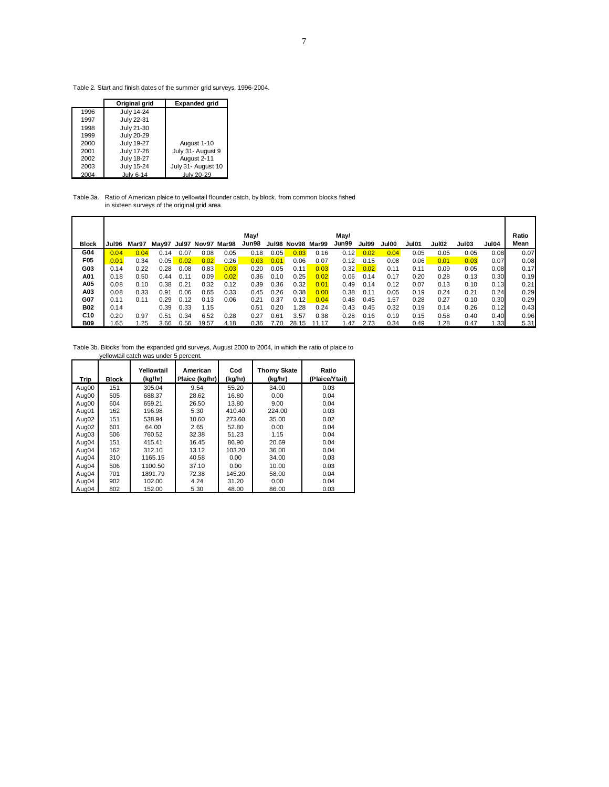Table 2. Start and finish dates of the summer grid surveys, 1996-2004.

|      | Original grid     | <b>Expanded grid</b> |
|------|-------------------|----------------------|
| 1996 | July 14-24        |                      |
| 1997 | July 22-31        |                      |
| 1998 | July 21-30        |                      |
| 1999 | July 20-29        |                      |
| 2000 | <b>July 19-27</b> | August 1-10          |
| 2001 | July 17-26        | July 31- August 9    |
| 2002 | <b>July 18-27</b> | August 2-11          |
| 2003 | July 15-24        | July 31- August 10   |
| 2004 | <b>July 6-14</b>  | July 20-29           |

Table 3a. Ratio of American plaice to yellowtail flounder catch, by block, from common blocks fished in sixteen surveys of the original grid area.

| <b>Block</b> | Jul96 | Mar97 |      |      | May97 Jul97 Nov97 Mar98 |      | May/<br>Jun98 |      | Jul98 Nov98 | Mar99 | May/<br>Jun99 | <b>Jul99</b> | Jul00 | Jul01 | <b>Jul02</b> | Jul03 | Jul04 | Ratio<br>Mean |
|--------------|-------|-------|------|------|-------------------------|------|---------------|------|-------------|-------|---------------|--------------|-------|-------|--------------|-------|-------|---------------|
|              |       |       |      |      |                         |      |               |      |             |       |               |              |       |       |              |       |       |               |
| G04          | 0.04  | 0.04  | 0.14 | 0.07 | 0.08                    | 0.05 | 0.18          | 0.05 | 0.03        | 0.16  | 0.12          | 0.02         | 0.04  | 0.05  | 0.05         | 0.05  | 0.08  | 0.07          |
| F05          | 0.01  | 0.34  | 0.05 | 0.02 | 0.02                    | 0.26 | 0.03          | 0.01 | 0.06        | 0.07  | 0.12          | 0.15         | 0.08  | 0.06  | 0.01         | 0.03  | 0.07  | 0.08          |
| G03          | 0.14  | 0.22  | 0.28 | 0.08 | 0.83                    | 0.03 | 0.20          | 0.05 | 0.11        | 0.03  | 0.32          | 0.02         | 0.11  | 0.11  | 0.09         | 0.05  | 0.08  | 0.17          |
| A01          | 0.18  | 0.50  | 0.44 | 0.11 | 0.09                    | 0.02 | 0.36          | 0.10 | 0.25        | 0.02  | 0.06          | 0.14         | 0.17  | 0.20  | 0.28         | 0.13  | 0.30  | 0.19          |
| A05          | 0.08  | 0.10  | 0.38 | 0.21 | 0.32                    | 0.12 | 0.39          | 0.36 | 0.32        | 0.01  | 0.49          | 0.14         | 0.12  | 0.07  | 0.13         | 0.10  | 0.13  | 0.21          |
| A03          | 0.08  | 0.33  | 0.91 | 0.06 | 0.65                    | 0.33 | 0.45          | 0.26 | 0.38        | 0.00  | 0.38          | 0.11         | 0.05  | 0.19  | 0.24         | 0.21  | 0.24  | 0.29          |
| G07          | 0.11  | 0.11  | 0.29 | 0.12 | 0.13                    | 0.06 | 0.21          | 0.37 | 0.12        | 0.04  | 0.48          | 0.45         | 1.57  | 0.28  | 0.27         | 0.10  | 0.30  | 0.29          |
| <b>B02</b>   | 0.14  |       | 0.39 | 0.33 | 1.15                    |      | 0.51          | 0.20 | 1.28        | 0.24  | 0.43          | 0.45         | 0.32  | 0.19  | 0.14         | 0.26  | 0.12  | 0.43          |
| C10          | 0.20  | 0.97  | 0.51 | 0.34 | 6.52                    | 0.28 | 0.27          | 0.61 | 3.57        | 0.38  | 0.28          | 0.16         | 0.19  | 0.15  | 0.58         | 0.40  | 0.40  | 0.96          |
| <b>B09</b>   | .65   | .25   | 3.66 | 0.56 | 19.57                   | 4.18 | 0.36          | 7.70 | 28.15       | 11.17 | l.47          | 2.73         | 0.34  | 0.49  | 1.28         | 0.47  | 1.33  | 5.31          |

Table 3b. Blocks from the expanded grid surveys, August 2000 to 2004, in which the ratio of plaice to yellowtail catch was under 5 percent.

| Trip  | <b>Block</b> | Yellowtail<br>(kg/hr) | American<br>Plaice (kg/hr) | Cod<br>(kg/hr) | <b>Thorny Skate</b><br>(kg/hr) | Ratio<br>(Plaice/Ytail) |
|-------|--------------|-----------------------|----------------------------|----------------|--------------------------------|-------------------------|
| Aug00 | 151          | 305.04                | 9.54                       | 55.20          | 34.00                          | 0.03                    |
| Aug00 | 505          | 688.37                | 28.62                      | 16.80          | 0.00                           | 0.04                    |
| Aug00 | 604          | 659.21                | 26.50                      | 13.80          | 9.00                           | 0.04                    |
| Aug01 | 162          | 196.98                | 5.30                       | 410.40         | 224.00                         | 0.03                    |
| Aug02 | 151          | 538.94                | 10.60                      | 273.60         | 35.00                          | 0.02                    |
| Aug02 | 601          | 64.00                 | 2.65                       | 52.80          | 0.00                           | 0.04                    |
| Aug03 | 506          | 760.52                | 32.38                      | 51.23          | 1.15                           | 0.04                    |
| Aug04 | 151          | 415.41                | 16.45                      | 86.90          | 20.69                          | 0.04                    |
| Aug04 | 162          | 312.10                | 13.12                      | 103.20         | 36.00                          | 0.04                    |
| Aug04 | 310          | 1165.15               | 40.58                      | 0.00           | 34.00                          | 0.03                    |
| Aug04 | 506          | 1100.50               | 37.10                      | 0.00           | 10.00                          | 0.03                    |
| Aug04 | 701          | 1891.79               | 72.38                      | 145.20         | 58.00                          | 0.04                    |
| Aug04 | 902          | 102.00                | 4.24                       | 31.20          | 0.00                           | 0.04                    |
| Aug04 | 802          | 152.00                | 5.30                       | 48.00          | 86.00                          | 0.03                    |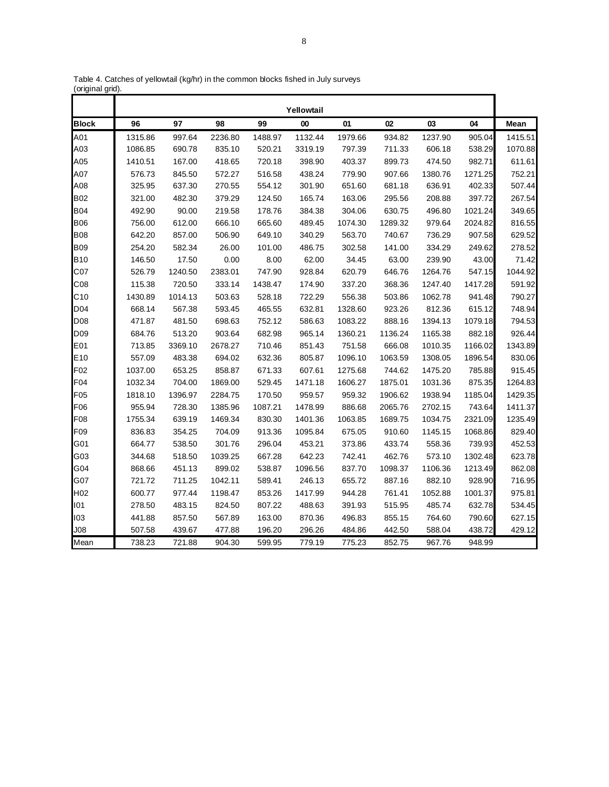|                 |         |         |         |         | Yellowtail        |         |         |         |         |         |
|-----------------|---------|---------|---------|---------|-------------------|---------|---------|---------|---------|---------|
| <b>Block</b>    | 96      | 97      | 98      | 99      | $\boldsymbol{00}$ | 01      | 02      | 03      | 04      | Mean    |
| A01             | 1315.86 | 997.64  | 2236.80 | 1488.97 | 1132.44           | 1979.66 | 934.82  | 1237.90 | 905.04  | 1415.51 |
| A03             | 1086.85 | 690.78  | 835.10  | 520.21  | 3319.19           | 797.39  | 711.33  | 606.18  | 538.29  | 1070.88 |
| A05             | 1410.51 | 167.00  | 418.65  | 720.18  | 398.90            | 403.37  | 899.73  | 474.50  | 982.71  | 611.61  |
| A07             | 576.73  | 845.50  | 572.27  | 516.58  | 438.24            | 779.90  | 907.66  | 1380.76 | 1271.25 | 752.21  |
| A08             | 325.95  | 637.30  | 270.55  | 554.12  | 301.90            | 651.60  | 681.18  | 636.91  | 402.33  | 507.44  |
| <b>B02</b>      | 321.00  | 482.30  | 379.29  | 124.50  | 165.74            | 163.06  | 295.56  | 208.88  | 397.72  | 267.54  |
| <b>B04</b>      | 492.90  | 90.00   | 219.58  | 178.76  | 384.38            | 304.06  | 630.75  | 496.80  | 1021.24 | 349.65  |
| <b>B06</b>      | 756.00  | 612.00  | 666.10  | 665.60  | 489.45            | 1074.30 | 1289.32 | 979.64  | 2024.82 | 816.55  |
| <b>B08</b>      | 642.20  | 857.00  | 506.90  | 649.10  | 340.29            | 563.70  | 740.67  | 736.29  | 907.58  | 629.52  |
| <b>B09</b>      | 254.20  | 582.34  | 26.00   | 101.00  | 486.75            | 302.58  | 141.00  | 334.29  | 249.62  | 278.52  |
| <b>B10</b>      | 146.50  | 17.50   | 0.00    | 8.00    | 62.00             | 34.45   | 63.00   | 239.90  | 43.00   | 71.42   |
| C07             | 526.79  | 1240.50 | 2383.01 | 747.90  | 928.84            | 620.79  | 646.76  | 1264.76 | 547.15  | 1044.92 |
| CO8             | 115.38  | 720.50  | 333.14  | 1438.47 | 174.90            | 337.20  | 368.36  | 1247.40 | 1417.28 | 591.92  |
| C10             | 1430.89 | 1014.13 | 503.63  | 528.18  | 722.29            | 556.38  | 503.86  | 1062.78 | 941.48  | 790.27  |
| D04             | 668.14  | 567.38  | 593.45  | 465.55  | 632.81            | 1328.60 | 923.26  | 812.36  | 615.12  | 748.94  |
| D <sub>08</sub> | 471.87  | 481.50  | 698.63  | 752.12  | 586.63            | 1083.22 | 888.16  | 1394.13 | 1079.18 | 794.53  |
| D <sub>09</sub> | 684.76  | 513.20  | 903.64  | 682.98  | 965.14            | 1360.21 | 1136.24 | 1165.38 | 882.18  | 926.44  |
| E01             | 713.85  | 3369.10 | 2678.27 | 710.46  | 851.43            | 751.58  | 666.08  | 1010.35 | 1166.02 | 1343.89 |
| E10             | 557.09  | 483.38  | 694.02  | 632.36  | 805.87            | 1096.10 | 1063.59 | 1308.05 | 1896.54 | 830.06  |
| F <sub>02</sub> | 1037.00 | 653.25  | 858.87  | 671.33  | 607.61            | 1275.68 | 744.62  | 1475.20 | 785.88  | 915.45  |
| F04             | 1032.34 | 704.00  | 1869.00 | 529.45  | 1471.18           | 1606.27 | 1875.01 | 1031.36 | 875.35  | 1264.83 |
| F <sub>05</sub> | 1818.10 | 1396.97 | 2284.75 | 170.50  | 959.57            | 959.32  | 1906.62 | 1938.94 | 1185.04 | 1429.35 |
| F06             | 955.94  | 728.30  | 1385.96 | 1087.21 | 1478.99           | 886.68  | 2065.76 | 2702.15 | 743.64  | 1411.37 |
| F08             | 1755.34 | 639.19  | 1469.34 | 830.30  | 1401.36           | 1063.85 | 1689.75 | 1034.75 | 2321.09 | 1235.49 |
| F09             | 836.83  | 354.25  | 704.09  | 913.36  | 1095.84           | 675.05  | 910.60  | 1145.15 | 1068.86 | 829.40  |
| G01             | 664.77  | 538.50  | 301.76  | 296.04  | 453.21            | 373.86  | 433.74  | 558.36  | 739.93  | 452.53  |
| G03             | 344.68  | 518.50  | 1039.25 | 667.28  | 642.23            | 742.41  | 462.76  | 573.10  | 1302.48 | 623.78  |
| G04             | 868.66  | 451.13  | 899.02  | 538.87  | 1096.56           | 837.70  | 1098.37 | 1106.36 | 1213.49 | 862.08  |
| G07             | 721.72  | 711.25  | 1042.11 | 589.41  | 246.13            | 655.72  | 887.16  | 882.10  | 928.90  | 716.95  |
| H <sub>02</sub> | 600.77  | 977.44  | 1198.47 | 853.26  | 1417.99           | 944.28  | 761.41  | 1052.88 | 1001.37 | 975.81  |
| 101             | 278.50  | 483.15  | 824.50  | 807.22  | 488.63            | 391.93  | 515.95  | 485.74  | 632.78  | 534.45  |
| 103             | 441.88  | 857.50  | 567.89  | 163.00  | 870.36            | 496.83  | 855.15  | 764.60  | 790.60  | 627.15  |
| J08             | 507.58  | 439.67  | 477.88  | 196.20  | 296.26            | 484.86  | 442.50  | 588.04  | 438.72  | 429.12  |
| Mean            | 738.23  | 721.88  | 904.30  | 599.95  | 779.19            | 775.23  | 852.75  | 967.76  | 948.99  |         |

Table 4. Catches of yellowtail (kg/hr) in the common blocks fished in July surveys (original grid).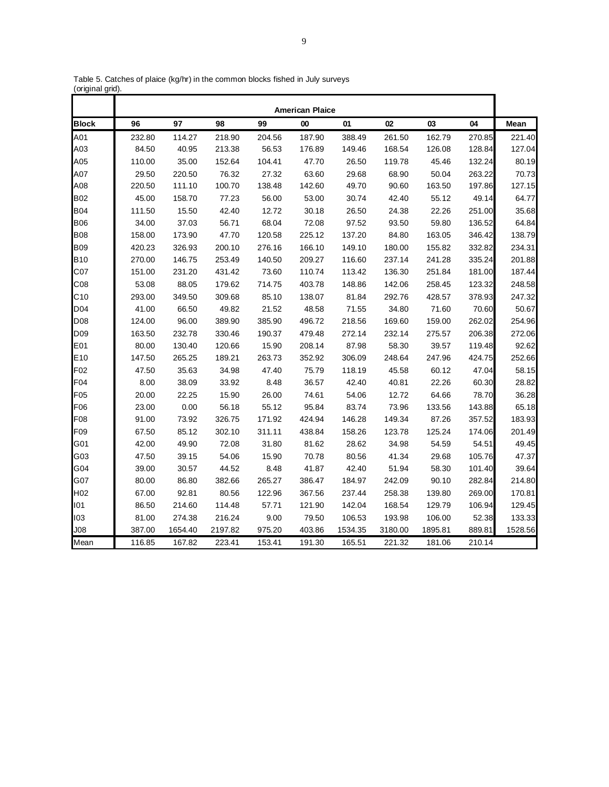|                 |        |         |         |        | <b>American Plaice</b> |         |         |         |        |         |
|-----------------|--------|---------|---------|--------|------------------------|---------|---------|---------|--------|---------|
| <b>Block</b>    | 96     | 97      | 98      | 99     | 00                     | 01      | 02      | 03      | 04     | Mean    |
| A01             | 232.80 | 114.27  | 218.90  | 204.56 | 187.90                 | 388.49  | 261.50  | 162.79  | 270.85 | 221.40  |
| A03             | 84.50  | 40.95   | 213.38  | 56.53  | 176.89                 | 149.46  | 168.54  | 126.08  | 128.84 | 127.04  |
| A05             | 110.00 | 35.00   | 152.64  | 104.41 | 47.70                  | 26.50   | 119.78  | 45.46   | 132.24 | 80.19   |
| A07             | 29.50  | 220.50  | 76.32   | 27.32  | 63.60                  | 29.68   | 68.90   | 50.04   | 263.22 | 70.73   |
| A08             | 220.50 | 111.10  | 100.70  | 138.48 | 142.60                 | 49.70   | 90.60   | 163.50  | 197.86 | 127.15  |
| <b>B02</b>      | 45.00  | 158.70  | 77.23   | 56.00  | 53.00                  | 30.74   | 42.40   | 55.12   | 49.14  | 64.77   |
| <b>B04</b>      | 111.50 | 15.50   | 42.40   | 12.72  | 30.18                  | 26.50   | 24.38   | 22.26   | 251.00 | 35.68   |
| <b>B06</b>      | 34.00  | 37.03   | 56.71   | 68.04  | 72.08                  | 97.52   | 93.50   | 59.80   | 136.52 | 64.84   |
| <b>B08</b>      | 158.00 | 173.90  | 47.70   | 120.58 | 225.12                 | 137.20  | 84.80   | 163.05  | 346.42 | 138.79  |
| <b>B09</b>      | 420.23 | 326.93  | 200.10  | 276.16 | 166.10                 | 149.10  | 180.00  | 155.82  | 332.82 | 234.31  |
| <b>B10</b>      | 270.00 | 146.75  | 253.49  | 140.50 | 209.27                 | 116.60  | 237.14  | 241.28  | 335.24 | 201.88  |
| C07             | 151.00 | 231.20  | 431.42  | 73.60  | 110.74                 | 113.42  | 136.30  | 251.84  | 181.00 | 187.44  |
| C <sub>08</sub> | 53.08  | 88.05   | 179.62  | 714.75 | 403.78                 | 148.86  | 142.06  | 258.45  | 123.32 | 248.58  |
| C10             | 293.00 | 349.50  | 309.68  | 85.10  | 138.07                 | 81.84   | 292.76  | 428.57  | 378.93 | 247.32  |
| D04             | 41.00  | 66.50   | 49.82   | 21.52  | 48.58                  | 71.55   | 34.80   | 71.60   | 70.60  | 50.67   |
| D08             | 124.00 | 96.00   | 389.90  | 385.90 | 496.72                 | 218.56  | 169.60  | 159.00  | 262.02 | 254.96  |
| D <sub>09</sub> | 163.50 | 232.78  | 330.46  | 190.37 | 479.48                 | 272.14  | 232.14  | 275.57  | 206.38 | 272.06  |
| E01             | 80.00  | 130.40  | 120.66  | 15.90  | 208.14                 | 87.98   | 58.30   | 39.57   | 119.48 | 92.62   |
| E <sub>10</sub> | 147.50 | 265.25  | 189.21  | 263.73 | 352.92                 | 306.09  | 248.64  | 247.96  | 424.75 | 252.66  |
| F <sub>02</sub> | 47.50  | 35.63   | 34.98   | 47.40  | 75.79                  | 118.19  | 45.58   | 60.12   | 47.04  | 58.15   |
| F04             | 8.00   | 38.09   | 33.92   | 8.48   | 36.57                  | 42.40   | 40.81   | 22.26   | 60.30  | 28.82   |
| F <sub>05</sub> | 20.00  | 22.25   | 15.90   | 26.00  | 74.61                  | 54.06   | 12.72   | 64.66   | 78.70  | 36.28   |
| F06             | 23.00  | 0.00    | 56.18   | 55.12  | 95.84                  | 83.74   | 73.96   | 133.56  | 143.88 | 65.18   |
| F08             | 91.00  | 73.92   | 326.75  | 171.92 | 424.94                 | 146.28  | 149.34  | 87.26   | 357.52 | 183.93  |
| F09             | 67.50  | 85.12   | 302.10  | 311.11 | 438.84                 | 158.26  | 123.78  | 125.24  | 174.06 | 201.49  |
| G01             | 42.00  | 49.90   | 72.08   | 31.80  | 81.62                  | 28.62   | 34.98   | 54.59   | 54.51  | 49.45   |
| G03             | 47.50  | 39.15   | 54.06   | 15.90  | 70.78                  | 80.56   | 41.34   | 29.68   | 105.76 | 47.37   |
| G04             | 39.00  | 30.57   | 44.52   | 8.48   | 41.87                  | 42.40   | 51.94   | 58.30   | 101.40 | 39.64   |
| G07             | 80.00  | 86.80   | 382.66  | 265.27 | 386.47                 | 184.97  | 242.09  | 90.10   | 282.84 | 214.80  |
| H <sub>02</sub> | 67.00  | 92.81   | 80.56   | 122.96 | 367.56                 | 237.44  | 258.38  | 139.80  | 269.00 | 170.81  |
| 101             | 86.50  | 214.60  | 114.48  | 57.71  | 121.90                 | 142.04  | 168.54  | 129.79  | 106.94 | 129.45  |
| 103             | 81.00  | 274.38  | 216.24  | 9.00   | 79.50                  | 106.53  | 193.98  | 106.00  | 52.38  | 133.33  |
| J08             | 387.00 | 1654.40 | 2197.82 | 975.20 | 403.86                 | 1534.35 | 3180.00 | 1895.81 | 889.81 | 1528.56 |
| Mean            | 116.85 | 167.82  | 223.41  | 153.41 | 191.30                 | 165.51  | 221.32  | 181.06  | 210.14 |         |

Table 5. Catches of plaice (kg/hr) in the common blocks fished in July surveys (original grid).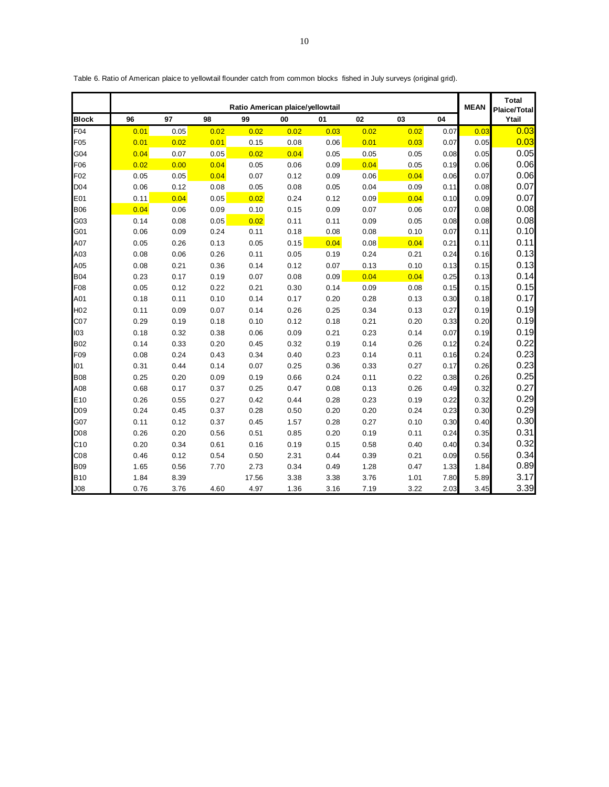|                  |      |      |      | <b>MEAN</b> | <b>Total</b><br><b>Plaice/Total</b> |      |      |      |      |      |       |
|------------------|------|------|------|-------------|-------------------------------------|------|------|------|------|------|-------|
| <b>Block</b>     | 96   | 97   | 98   | 99          | 00                                  | 01   | 02   | 03   | 04   |      | Ytail |
| F04              | 0.01 | 0.05 | 0.02 | 0.02        | 0.02                                | 0.03 | 0.02 | 0.02 | 0.07 | 0.03 | 0.03  |
| F05              | 0.01 | 0.02 | 0.01 | 0.15        | 0.08                                | 0.06 | 0.01 | 0.03 | 0.07 | 0.05 | 0.03  |
| G04              | 0.04 | 0.07 | 0.05 | 0.02        | 0.04                                | 0.05 | 0.05 | 0.05 | 0.08 | 0.05 | 0.05  |
| F06              | 0.02 | 0.00 | 0.04 | 0.05        | 0.06                                | 0.09 | 0.04 | 0.05 | 0.19 | 0.06 | 0.06  |
| F02              | 0.05 | 0.05 | 0.04 | 0.07        | 0.12                                | 0.09 | 0.06 | 0.04 | 0.06 | 0.07 | 0.06  |
| D <sub>04</sub>  | 0.06 | 0.12 | 0.08 | 0.05        | 0.08                                | 0.05 | 0.04 | 0.09 | 0.11 | 0.08 | 0.07  |
| E01              | 0.11 | 0.04 | 0.05 | 0.02        | 0.24                                | 0.12 | 0.09 | 0.04 | 0.10 | 0.09 | 0.07  |
| <b>B06</b>       | 0.04 | 0.06 | 0.09 | 0.10        | 0.15                                | 0.09 | 0.07 | 0.06 | 0.07 | 0.08 | 0.08  |
| G03              | 0.14 | 0.08 | 0.05 | 0.02        | 0.11                                | 0.11 | 0.09 | 0.05 | 0.08 | 0.08 | 0.08  |
| G01              | 0.06 | 0.09 | 0.24 | 0.11        | 0.18                                | 0.08 | 0.08 | 0.10 | 0.07 | 0.11 | 0.10  |
| A07              | 0.05 | 0.26 | 0.13 | 0.05        | 0.15                                | 0.04 | 0.08 | 0.04 | 0.21 | 0.11 | 0.11  |
| A03              | 0.08 | 0.06 | 0.26 | 0.11        | 0.05                                | 0.19 | 0.24 | 0.21 | 0.24 | 0.16 | 0.13  |
| A05              | 0.08 | 0.21 | 0.36 | 0.14        | 0.12                                | 0.07 | 0.13 | 0.10 | 0.13 | 0.15 | 0.13  |
| <b>B04</b>       | 0.23 | 0.17 | 0.19 | 0.07        | 0.08                                | 0.09 | 0.04 | 0.04 | 0.25 | 0.13 | 0.14  |
| F08              | 0.05 | 0.12 | 0.22 | 0.21        | 0.30                                | 0.14 | 0.09 | 0.08 | 0.15 | 0.15 | 0.15  |
| A01              | 0.18 | 0.11 | 0.10 | 0.14        | 0.17                                | 0.20 | 0.28 | 0.13 | 0.30 | 0.18 | 0.17  |
| H <sub>02</sub>  | 0.11 | 0.09 | 0.07 | 0.14        | 0.26                                | 0.25 | 0.34 | 0.13 | 0.27 | 0.19 | 0.19  |
| CO <sub>7</sub>  | 0.29 | 0.19 | 0.18 | 0.10        | 0.12                                | 0.18 | 0.21 | 0.20 | 0.33 | 0.20 | 0.19  |
| 103              | 0.18 | 0.32 | 0.38 | 0.06        | 0.09                                | 0.21 | 0.23 | 0.14 | 0.07 | 0.19 | 0.19  |
| <b>B02</b>       | 0.14 | 0.33 | 0.20 | 0.45        | 0.32                                | 0.19 | 0.14 | 0.26 | 0.12 | 0.24 | 0.22  |
| F <sub>09</sub>  | 0.08 | 0.24 | 0.43 | 0.34        | 0.40                                | 0.23 | 0.14 | 0.11 | 0.16 | 0.24 | 0.23  |
| 101              | 0.31 | 0.44 | 0.14 | 0.07        | 0.25                                | 0.36 | 0.33 | 0.27 | 0.17 | 0.26 | 0.23  |
| <b>B08</b>       | 0.25 | 0.20 | 0.09 | 0.19        | 0.66                                | 0.24 | 0.11 | 0.22 | 0.38 | 0.26 | 0.25  |
| A08              | 0.68 | 0.17 | 0.37 | 0.25        | 0.47                                | 0.08 | 0.13 | 0.26 | 0.49 | 0.32 | 0.27  |
| E10              | 0.26 | 0.55 | 0.27 | 0.42        | 0.44                                | 0.28 | 0.23 | 0.19 | 0.22 | 0.32 | 0.29  |
| D <sub>09</sub>  | 0.24 | 0.45 | 0.37 | 0.28        | 0.50                                | 0.20 | 0.20 | 0.24 | 0.23 | 0.30 | 0.29  |
| G07              | 0.11 | 0.12 | 0.37 | 0.45        | 1.57                                | 0.28 | 0.27 | 0.10 | 0.30 | 0.40 | 0.30  |
| D <sub>0</sub> 8 | 0.26 | 0.20 | 0.56 | 0.51        | 0.85                                | 0.20 | 0.19 | 0.11 | 0.24 | 0.35 | 0.31  |
| C10              | 0.20 | 0.34 | 0.61 | 0.16        | 0.19                                | 0.15 | 0.58 | 0.40 | 0.40 | 0.34 | 0.32  |
| CO8              | 0.46 | 0.12 | 0.54 | 0.50        | 2.31                                | 0.44 | 0.39 | 0.21 | 0.09 | 0.56 | 0.34  |
| <b>B09</b>       | 1.65 | 0.56 | 7.70 | 2.73        | 0.34                                | 0.49 | 1.28 | 0.47 | 1.33 | 1.84 | 0.89  |
| <b>B10</b>       | 1.84 | 8.39 |      | 17.56       | 3.38                                | 3.38 | 3.76 | 1.01 | 7.80 | 5.89 | 3.17  |
| J <sub>08</sub>  | 0.76 | 3.76 | 4.60 | 4.97        | 1.36                                | 3.16 | 7.19 | 3.22 | 2.03 | 3.45 | 3.39  |

Table 6. Ratio of American plaice to yellowtail flounder catch from common blocks fished in July surveys (original grid).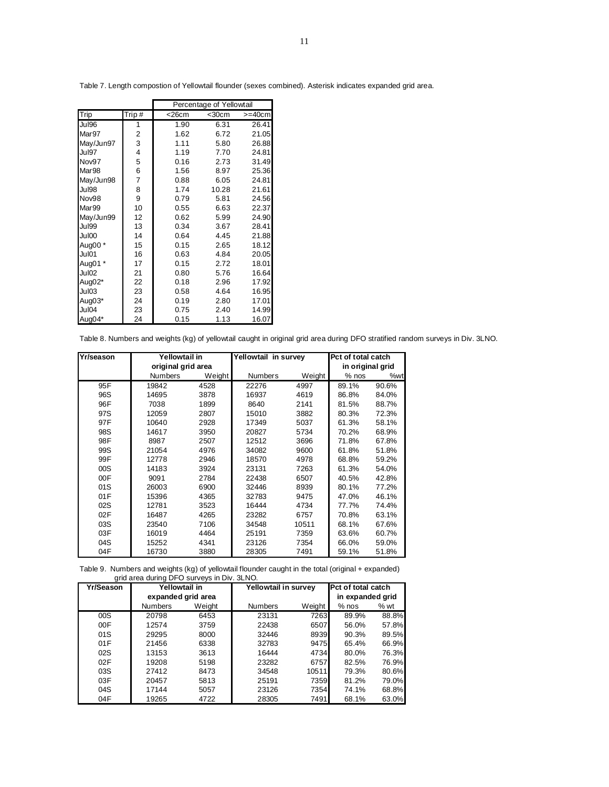|                   |       | Percentage of Yellowtail |             |              |  |  |  |  |  |
|-------------------|-------|--------------------------|-------------|--------------|--|--|--|--|--|
| Trip              | Trip# | $<$ 26 $cm$              | $<$ 30 $cm$ | $>=$ 40 $cm$ |  |  |  |  |  |
| Jul96             | 1     | 1.90                     | 6.31        | 26.41        |  |  |  |  |  |
| Mar97             | 2     | 1.62                     | 6.72        | 21.05        |  |  |  |  |  |
| May/Jun97         | 3     | 1.11                     | 5.80        | 26.88        |  |  |  |  |  |
| Jul97             | 4     | 1.19                     | 7.70        | 24.81        |  |  |  |  |  |
| Nov97             | 5     | 0.16                     | 2.73        | 31.49        |  |  |  |  |  |
| Mar <sub>98</sub> | 6     | 1.56                     | 8.97        | 25.36        |  |  |  |  |  |
| May/Jun98         | 7     | 0.88                     | 6.05        | 24.81        |  |  |  |  |  |
| Jul98             | 8     | 1.74                     | 10.28       | 21.61        |  |  |  |  |  |
| Nov98             | 9     | 0.79                     | 5.81        | 24.56        |  |  |  |  |  |
| Mar99             | 10    | 0.55                     | 6.63        | 22.37        |  |  |  |  |  |
| May/Jun99         | 12    | 0.62                     | 5.99        | 24.90        |  |  |  |  |  |
| Jul99             | 13    | 0.34                     | 3.67        | 28.41        |  |  |  |  |  |
| Jul00             | 14    | 0.64                     | 4.45        | 21.88        |  |  |  |  |  |
| Aug00*            | 15    | 0.15                     | 2.65        | 18.12        |  |  |  |  |  |
| Jul01             | 16    | 0.63                     | 4.84        | 20.05        |  |  |  |  |  |
| Aug01 *           | 17    | 0.15                     | 2.72        | 18.01        |  |  |  |  |  |
| Jul02             | 21    | 0.80                     | 5.76        | 16.64        |  |  |  |  |  |
| Aug02*            | 22    | 0.18                     | 2.96        | 17.92        |  |  |  |  |  |
| Jul03             | 23    | 0.58                     | 4.64        | 16.95        |  |  |  |  |  |
| Aug03*            | 24    | 0.19                     | 2.80        | 17.01        |  |  |  |  |  |
| Jul04             | 23    | 0.75                     | 2.40        | 14.99        |  |  |  |  |  |
| Aug04*            | 24    | 0.15                     | 1.13        | 16.07        |  |  |  |  |  |

Table 7. Length compostion of Yellowtail flounder (sexes combined). Asterisk indicates expanded grid area.

Table 8. Numbers and weights (kg) of yellowtail caught in original grid area during DFO stratified random surveys in Div. 3LNO.

| Yr/season | Yellowtail in      |        | Yellowtail in survey |        | Pct of total catch |       |
|-----------|--------------------|--------|----------------------|--------|--------------------|-------|
|           | original grid area |        |                      |        | in original grid   |       |
|           | <b>Numbers</b>     | Weight | <b>Numbers</b>       | Weight | $%$ nos            | %wt   |
| 95F       | 19842              | 4528   | 22276                | 4997   | 89.1%              | 90.6% |
| 96S       | 14695              | 3878   | 16937                | 4619   | 86.8%              | 84.0% |
| 96F       | 7038               | 1899   | 8640                 | 2141   | 81.5%              | 88.7% |
| 97S       | 12059              | 2807   | 15010                | 3882   | 80.3%              | 72.3% |
| 97F       | 10640              | 2928   | 17349                | 5037   | 61.3%              | 58.1% |
| 98S       | 14617              | 3950   | 20827                | 5734   | 70.2%              | 68.9% |
| 98F       | 8987               | 2507   | 12512                | 3696   | 71.8%              | 67.8% |
| 99S       | 21054              | 4976   | 34082                | 9600   | 61.8%              | 51.8% |
| 99F       | 12778              | 2946   | 18570                | 4978   | 68.8%              | 59.2% |
| 00S       | 14183              | 3924   | 23131                | 7263   | 61.3%              | 54.0% |
| 00F       | 9091               | 2784   | 22438                | 6507   | 40.5%              | 42.8% |
| 01S       | 26003              | 6900   | 32446                | 8939   | 80.1%              | 77.2% |
| 01F       | 15396              | 4365   | 32783                | 9475   | 47.0%              | 46.1% |
| 02S       | 12781              | 3523   | 16444                | 4734   | 77.7%              | 74.4% |
| 02F       | 16487              | 4265   | 23282                | 6757   | 70.8%              | 63.1% |
| 03S       | 23540              | 7106   | 34548                | 10511  | 68.1%              | 67.6% |
| 03F       | 16019              | 4464   | 25191                | 7359   | 63.6%              | 60.7% |
| 04S       | 15252              | 4341   | 23126                | 7354   | 66.0%              | 59.0% |
| 04F       | 16730              | 3880   | 28305                | 7491   | 59.1%              | 51.8% |

Table 9. Numbers and weights (kg) of yellowtail flounder caught in the total (original + expanded) grid area during DFO surveys in Div. 3LNO.

| <b>Yr/Season</b> | Yellowtail in      |        | Yellowtail in survey |        | <b>Pct of total catch</b> |       |
|------------------|--------------------|--------|----------------------|--------|---------------------------|-------|
|                  | expanded grid area |        |                      |        | in expanded grid          |       |
|                  | <b>Numbers</b>     | Weight | <b>Numbers</b>       | Weight | $%$ nos                   | % wt  |
| 00S              | 20798              | 6453   | 23131                | 7263   | 89.9%                     | 88.8% |
| 00F              | 12574              | 3759   | 22438                | 6507   | 56.0%                     | 57.8% |
| 01S              | 29295              | 8000   | 32446                | 8939   | 90.3%                     | 89.5% |
| 01F              | 21456              | 6338   | 32783                | 9475   | 65.4%                     | 66.9% |
| 02S              | 13153              | 3613   | 16444                | 4734   | 80.0%                     | 76.3% |
| 02F              | 19208              | 5198   | 23282                | 6757   | 82.5%                     | 76.9% |
| 03S              | 27412              | 8473   | 34548                | 10511  | 79.3%                     | 80.6% |
| 03F              | 20457              | 5813   | 25191                | 7359   | 81.2%                     | 79.0% |
| 04S              | 17144              | 5057   | 23126                | 7354   | 74.1%                     | 68.8% |
| 04F              | 19265              | 4722   | 28305                | 7491   | 68.1%                     | 63.0% |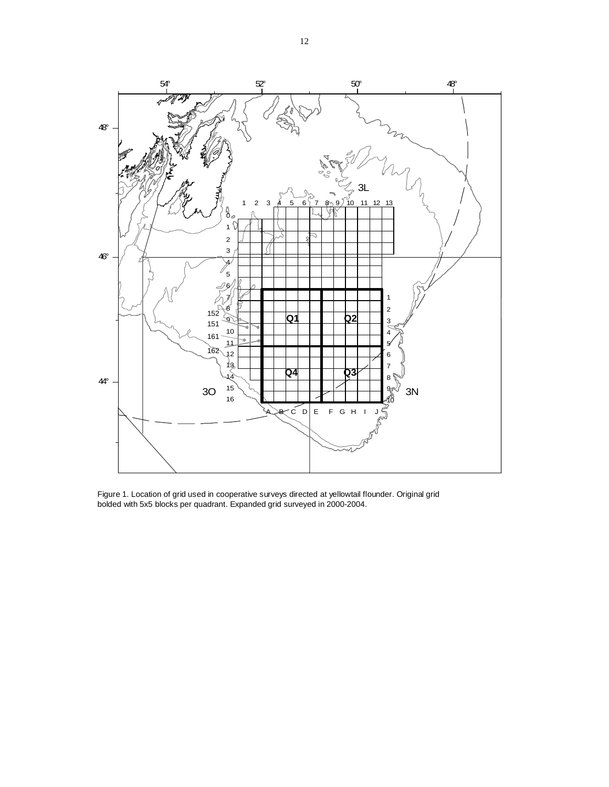

Figure 1. Location of grid used in cooperative surveys directed at yellowtail flounder. Original grid bolded with 5x5 blocks per quadrant. Expanded grid surveyed in 2000-2004.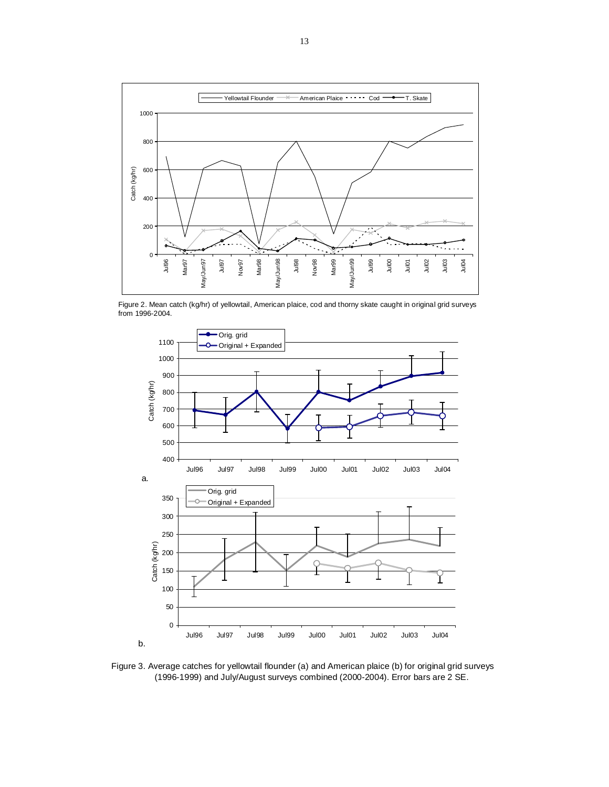

Figure 2. Mean catch (kg/hr) of yellowtail, American plaice, cod and thorny skate caught in original grid surveys from 1996-2004.



Figure 3. Average catches for yellowtail flounder (a) and American plaice (b) for original grid surveys (1996-1999) and July/August surveys combined (2000-2004). Error bars are 2 SE.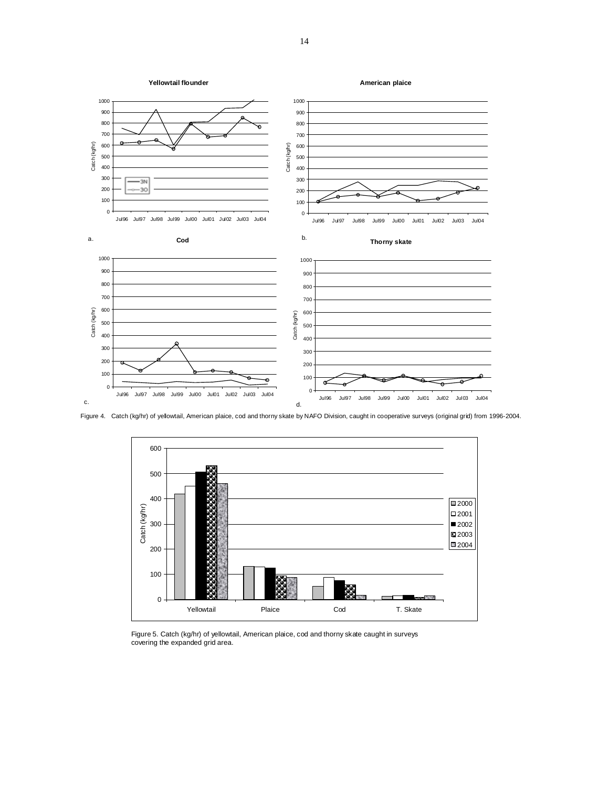

Figure 4. Catch (kg/hr) of yellowtail, American plaice, cod and thorny skate by NAFO Division, caught in cooperative surveys (original grid) from 1996-2004.



Figure 5. Catch (kg/hr) of yellowtail, American plaice, cod and thorny skate caught in surveys covering the expanded grid area.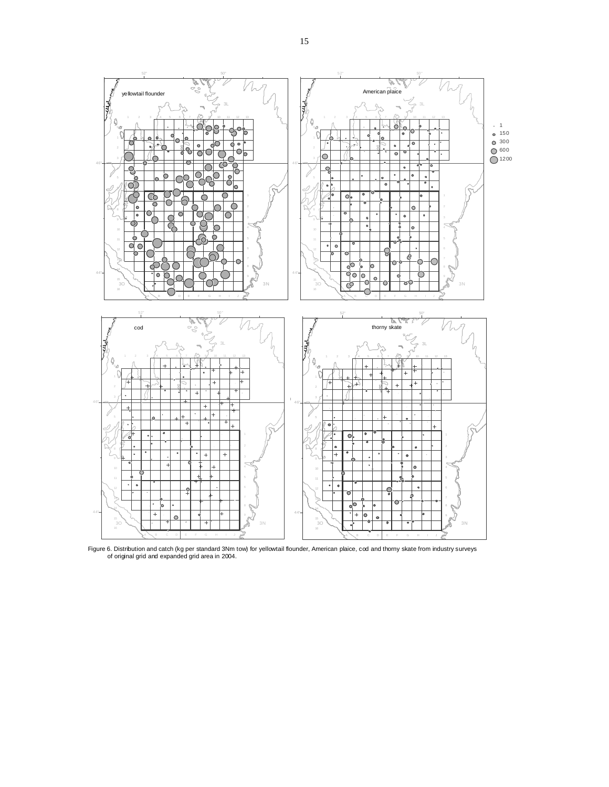

Figure 6. Distribution and catch (kg per standard 3Nm tow) for yellowtail flounder, American plaice, cod and thorny skate from industry surveys of original grid and expanded grid area in 2004.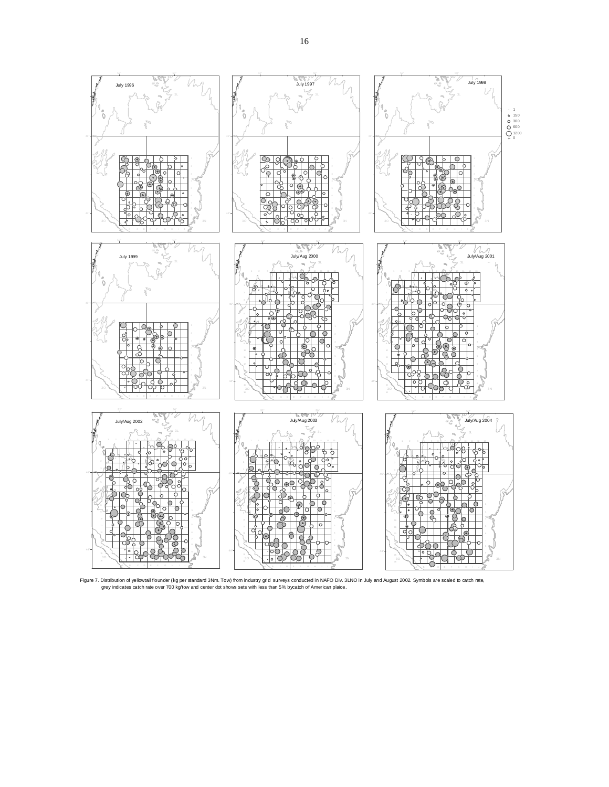

Figure 7. Distribution of yellowtail flounder (kg per standard 3Nm. Tow) from industry grid surveys conducted in NAFO Div. 3LNO in July and August 2002. Symbols are scaled to catch rate, grey indicates catch rate over 700 kg/tow and center dot shows sets with less than 5% bycatch of American plaice.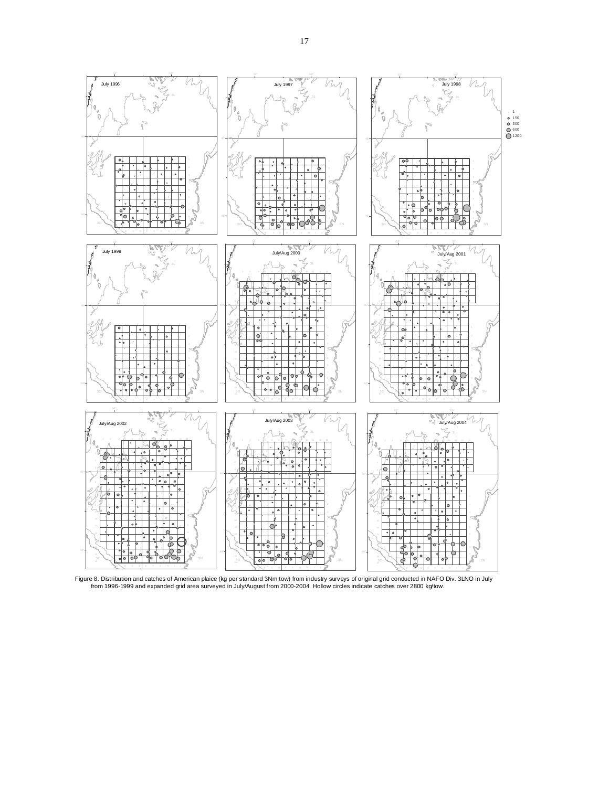

Figure 8. Distribution and catches of American plaice (kg per standard 3Nm tow) from industry surveys of original grid conducted in NAFO Div. 3LNO in July<br>from 1996-1999 and expanded grid area surveyed in July/August from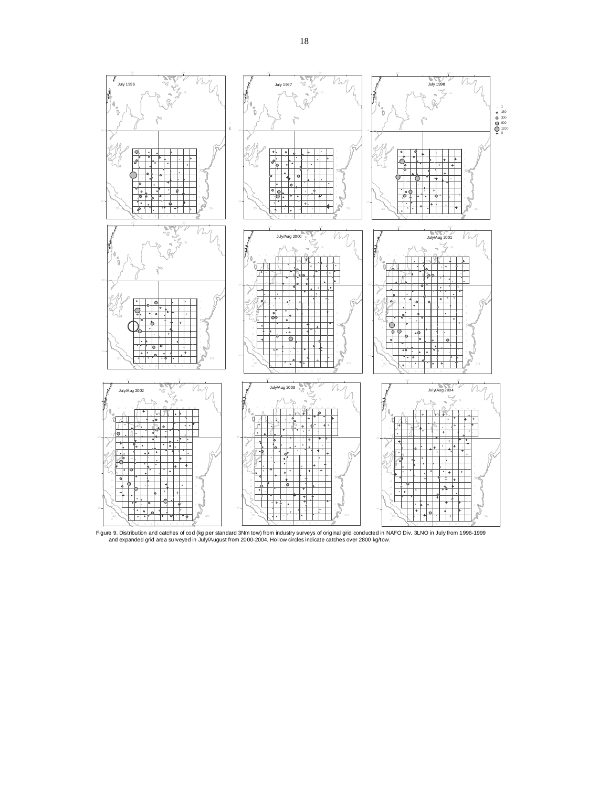

Figure 9. Distribution and catches of cod (kg per standard 3Nm tow) from industry surveys of original grid conducted in NAFO Div. 3LNO in July from 1996-1999 and expanded grid area surveyed in July/August from 2000-2004. Hollow circles indicate catches over 2800 kg/tow.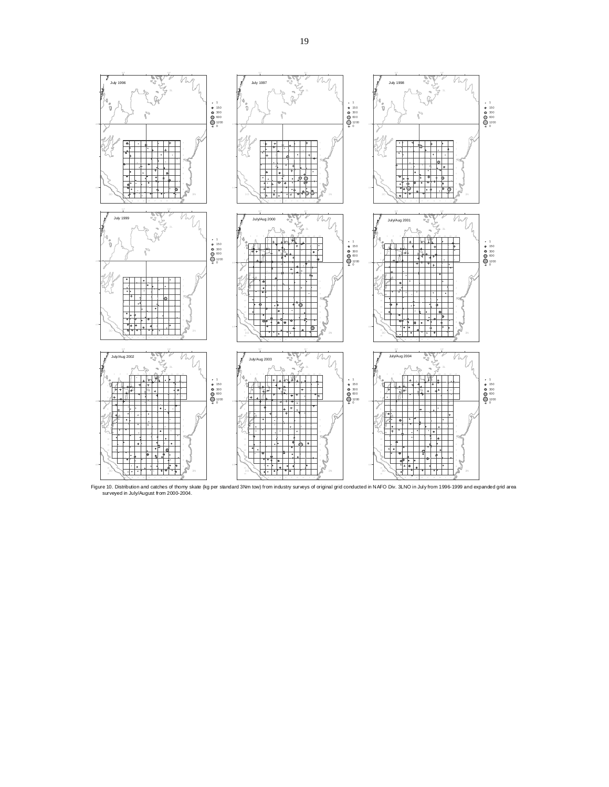

Figure 10. Distribution and catches of thomy skate (kg per standard 3Nm tow) from industry surveys of original grid conducted in NAFO Div. 3LNO in July from 1996-1999 and expanded grid area<br>surveyed in July/August from 200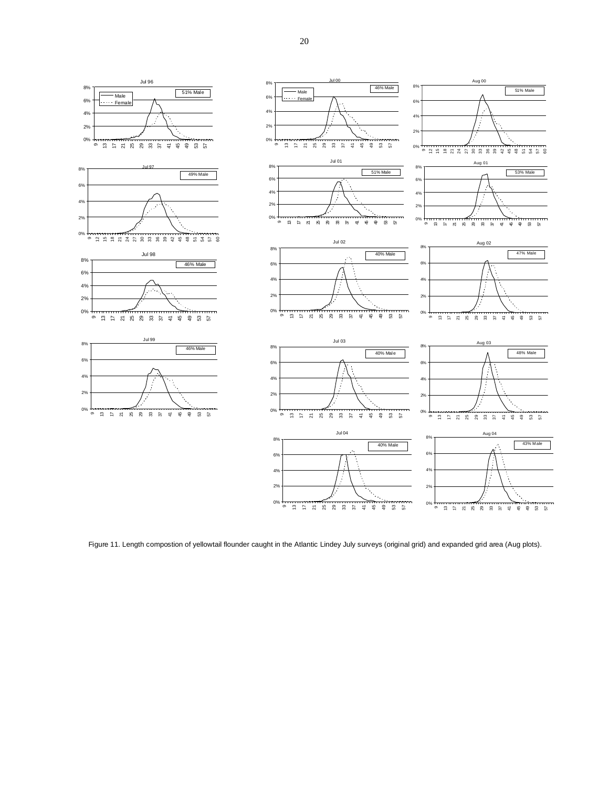

Figure 11. Length compostion of yellowtail flounder caught in the Atlantic Lindey July surveys (original grid) and expanded grid area (Aug plots).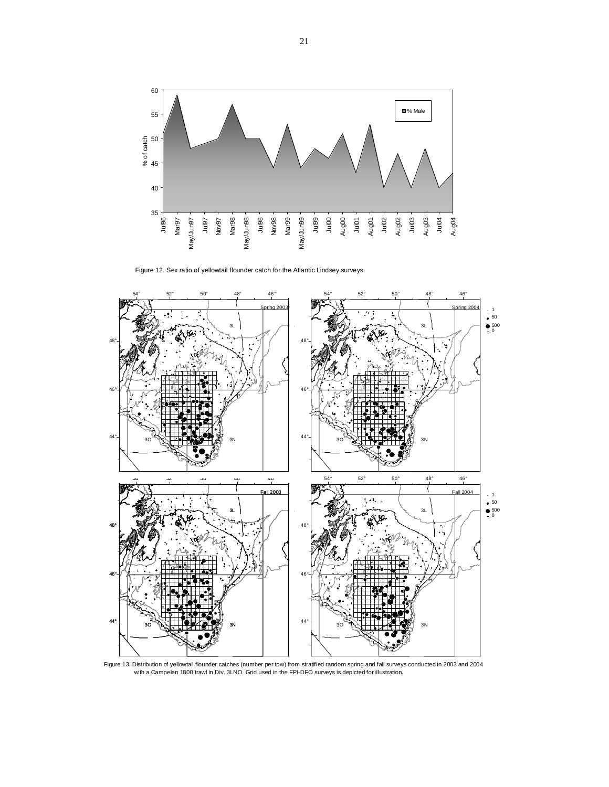

Figure 12. Sex ratio of yellowtail flounder catch for the Atlantic Lindsey surveys.



Figure 13. Distribution of yellowtail flounder catches (number per tow) from stratified random spring and fall surveys conducted in 2003 and 2004<br>with a Campelen 1800 trawl in Div. 3LNO. Grid used in the FPI-DFO surveys is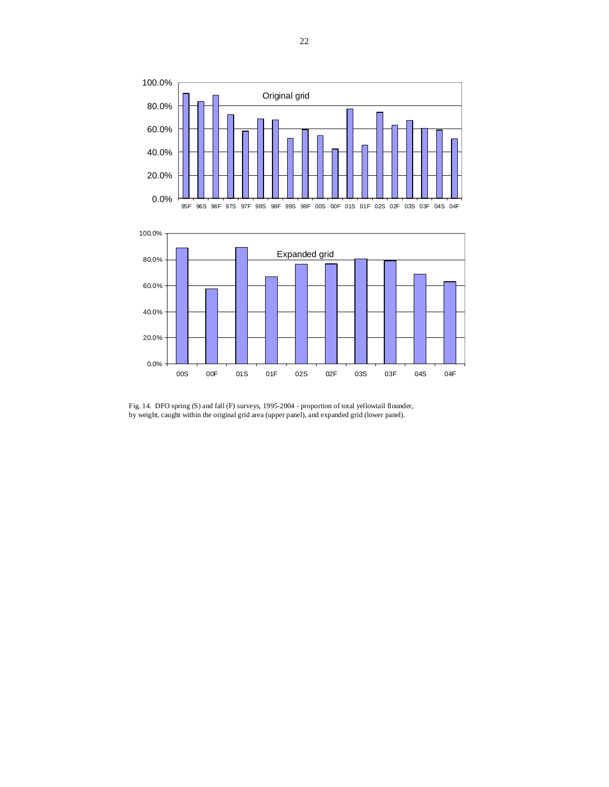

Fig. 14. DFO spring (S) and fall (F) surveys, 1995-2004 - proportion of total yellowtail flounder, by weight, caught within the original grid area (upper panel), and expanded grid (lower panel).